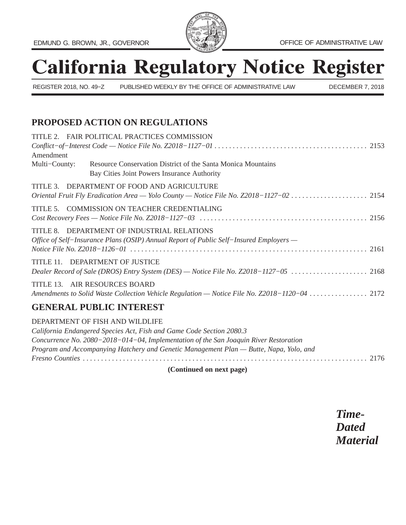

# **California Regulatory Notice Register**

REGISTER 2018, NO. 49−Z PUBLISHED WEEKLY BY THE OFFICE OF ADMINISTRATIVE LAW DECEMBER 7, 2018

# **PROPOSED ACTION ON REGULATIONS**

|               | TITLE 2. FAIR POLITICAL PRACTICES COMMISSION                                                                                                                                                        |
|---------------|-----------------------------------------------------------------------------------------------------------------------------------------------------------------------------------------------------|
|               |                                                                                                                                                                                                     |
| Amendment     |                                                                                                                                                                                                     |
| Multi-County: | Resource Conservation District of the Santa Monica Mountains<br>Bay Cities Joint Powers Insurance Authority                                                                                         |
|               | TITLE 3. DEPARTMENT OF FOOD AND AGRICULTURE<br>Oriental Fruit Fly Eradication Area - Yolo County - Notice File No. Z2018-1127-02  2154                                                              |
|               | TITLE 5. COMMISSION ON TEACHER CREDENTIALING                                                                                                                                                        |
|               | TITLE 8. DEPARTMENT OF INDUSTRIAL RELATIONS<br>Office of Self-Insurance Plans (OSIP) Annual Report of Public Self-Insured Employers —                                                               |
|               | TITLE 11. DEPARTMENT OF JUSTICE<br>Dealer Record of Sale (DROS) Entry System (DES) - Notice File No. Z2018-1127-05  2168                                                                            |
|               | TITLE 13. AIR RESOURCES BOARD<br>Amendments to Solid Waste Collection Vehicle Regulation - Notice File No. Z2018-1120-04  2172                                                                      |
|               | <b>GENERAL PUBLIC INTEREST</b>                                                                                                                                                                      |
|               | DEPARTMENT OF FISH AND WILDLIFE<br>California Endangered Species Act, Fish and Game Code Section 2080.3<br>Concurrence No. $2080-2018-014-04$ , Implementation of the San Joaquin River Restoration |

*Program and Accompanying Hatchery and Genetic Management Plan — Butte, Napa, Yolo, and*

*Fresno Counties* [..............................................................................](#page-25-0) 2176

**(Continued on next page)**

*Time-Dated Material*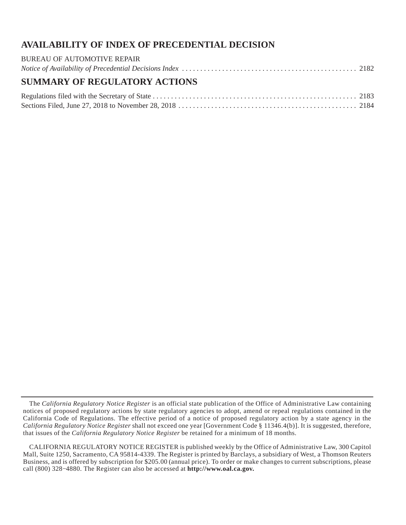# **AVAILABILITY OF INDEX OF PRECEDENTIAL DECISION**

| <b>BUREAU OF AUTOMOTIVE REPAIR</b> |  |
|------------------------------------|--|
|                                    |  |

# **SUMMARY OF REGULATORY ACTIONS**

The *California Regulatory Notice Register* is an official state publication of the Office of Administrative Law containing notices of proposed regulatory actions by state regulatory agencies to adopt, amend or repeal regulations contained in the California Code of Regulations. The effective period of a notice of proposed regulatory action by a state agency in the *California Regulatory Notice Register* shall not exceed one year [Government Code § 11346.4(b)]. It is suggested, therefore, that issues of the *California Regulatory Notice Register* be retained for a minimum of 18 months.

CALIFORNIA REGULATORY NOTICE REGISTER is published weekly by the Office of Administrative Law, 300 Capitol Mall, Suite 1250, Sacramento, CA 95814-4339. The Register is printed by Barclays, a subsidiary of West, a Thomson Reuters Business, and is offered by subscription for \$205.00 (annual price). To order or make changes to current subscriptions, please call (800) 328−4880. The Register can also be accessed at **http://www.oal.ca.gov.**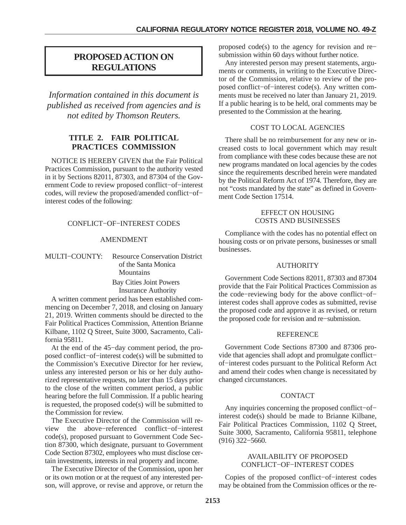# <span id="page-2-0"></span>**PROPOSED ACTION ON REGULATIONS**

*Information contained in this document is published as received from agencies and is not edited by Thomson Reuters.*

## **TITLE 2. FAIR POLITICAL PRACTICES COMMISSION**

NOTICE IS HEREBY GIVEN that the Fair Political Practices Commission, pursuant to the authority vested in it by Sections 82011, 87303, and 87304 of the Government Code to review proposed conflict−of−interest codes, will review the proposed/amended conflict−of− interest codes of the following:

## CONFLICT−OF−INTEREST CODES

#### AMENDMENT

MULTI−COUNTY: Resource Conservation District of the Santa Monica **Mountains** Bay Cities Joint Powers

Insurance Authority

A written comment period has been established commencing on December 7, 2018, and closing on January 21, 2019. Written comments should be directed to the Fair Political Practices Commission, Attention Brianne Kilbane, 1102 Q Street, Suite 3000, Sacramento, California 95811.

At the end of the 45−day comment period, the proposed conflict−of−interest code(s) will be submitted to the Commission's Executive Director for her review, unless any interested person or his or her duly authorized representative requests, no later than 15 days prior to the close of the written comment period, a public hearing before the full Commission. If a public hearing is requested, the proposed code(s) will be submitted to the Commission for review.

The Executive Director of the Commission will review the above−referenced conflict−of−interest code(s), proposed pursuant to Government Code Section 87300, which designate, pursuant to Government Code Section 87302, employees who must disclose certain investments, interests in real property and income.

The Executive Director of the Commission, upon her or its own motion or at the request of any interested person, will approve, or revise and approve, or return the

proposed code(s) to the agency for revision and re− submission within 60 days without further notice.

Any interested person may present statements, arguments or comments, in writing to the Executive Director of the Commission, relative to review of the proposed conflict−of−interest code(s). Any written comments must be received no later than January 21, 2019. If a public hearing is to be held, oral comments may be presented to the Commission at the hearing.

## COST TO LOCAL AGENCIES

There shall be no reimbursement for any new or increased costs to local government which may result from compliance with these codes because these are not new programs mandated on local agencies by the codes since the requirements described herein were mandated by the Political Reform Act of 1974. Therefore, they are not "costs mandated by the state" as defined in Government Code Section 17514.

#### EFFECT ON HOUSING COSTS AND BUSINESSES

Compliance with the codes has no potential effect on housing costs or on private persons, businesses or small businesses.

## AUTHORITY

Government Code Sections 82011, 87303 and 87304 provide that the Fair Political Practices Commission as the code−reviewing body for the above conflict−of− interest codes shall approve codes as submitted, revise the proposed code and approve it as revised, or return the proposed code for revision and re−submission.

#### **REFERENCE**

Government Code Sections 87300 and 87306 provide that agencies shall adopt and promulgate conflict− of−interest codes pursuant to the Political Reform Act and amend their codes when change is necessitated by changed circumstances.

## **CONTACT**

Any inquiries concerning the proposed conflict−of− interest code(s) should be made to Brianne Kilbane, Fair Political Practices Commission, 1102 Q Street, Suite 3000, Sacramento, California 95811, telephone (916) 322−5660.

#### AVAILABILITY OF PROPOSED CONFLICT−OF−INTEREST CODES

Copies of the proposed conflict−of−interest codes may be obtained from the Commission offices or the re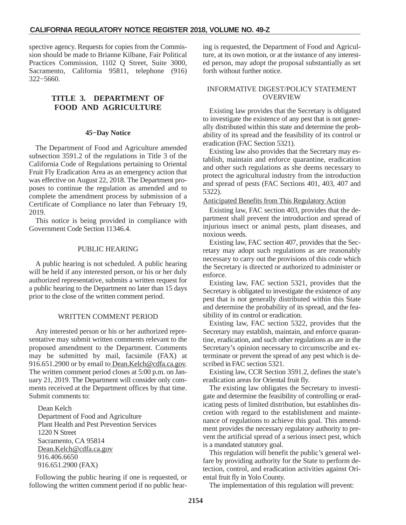<span id="page-3-0"></span>spective agency. Requests for copies from the Commission should be made to Brianne Kilbane, Fair Political Practices Commission, 1102 Q Street, Suite 3000, Sacramento, California 95811, telephone (916) 322−5660.

## **TITLE 3. DEPARTMENT OF FOOD AND AGRICULTURE**

## **45−Day Notice**

The Department of Food and Agriculture amended subsection 3591.2 of the regulations in Title 3 of the California Code of Regulations pertaining to Oriental Fruit Fly Eradication Area as an emergency action that was effective on August 22, 2018. The Department proposes to continue the regulation as amended and to complete the amendment process by submission of a Certificate of Compliance no later than February 19, 2019.

This notice is being provided in compliance with Government Code Section 11346.4.

## PUBLIC HEARING

A public hearing is not scheduled. A public hearing will be held if any interested person, or his or her duly authorized representative, submits a written request for a public hearing to the Department no later than 15 days prior to the close of the written comment period.

## WRITTEN COMMENT PERIOD

Any interested person or his or her authorized representative may submit written comments relevant to the proposed amendment to the Department. Comments may be submitted by mail, facsimile (FAX) at 916.651.2900 or by email to Dean.Kelch@cdfa.ca.gov. The written comment period closes at 5:00 p.m. on January 21, 2019. The Department will consider only comments received at the Department offices by that time. Submit comments to:

Dean Kelch Department of Food and Agriculture Plant Health and Pest Prevention Services 1220 N Street Sacramento, CA 95814 Dean.Kelch@cdfa.ca.gov 916.406.6650 916.651.2900 (FAX)

Following the public hearing if one is requested, or following the written comment period if no public hearing is requested, the Department of Food and Agriculture, at its own motion, or at the instance of any interested person, may adopt the proposal substantially as set forth without further notice.

## INFORMATIVE DIGEST/POLICY STATEMENT **OVERVIEW**

Existing law provides that the Secretary is obligated to investigate the existence of any pest that is not generally distributed within this state and determine the probability of its spread and the feasibility of its control or eradication (FAC Section 5321).

Existing law also provides that the Secretary may establish, maintain and enforce quarantine, eradication and other such regulations as she deems necessary to protect the agricultural industry from the introduction and spread of pests (FAC Sections 401, 403, 407 and 5322).

## Anticipated Benefits from This Regulatory Action

Existing law, FAC section 403, provides that the department shall prevent the introduction and spread of injurious insect or animal pests, plant diseases, and noxious weeds.

Existing law, FAC section 407, provides that the Secretary may adopt such regulations as are reasonably necessary to carry out the provisions of this code which the Secretary is directed or authorized to administer or enforce.

Existing law, FAC section 5321, provides that the Secretary is obligated to investigate the existence of any pest that is not generally distributed within this State and determine the probability of its spread, and the feasibility of its control or eradication.

Existing law, FAC section 5322, provides that the Secretary may establish, maintain, and enforce quarantine, eradication, and such other regulations as are in the Secretary's opinion necessary to circumscribe and exterminate or prevent the spread of any pest which is described in FAC section 5321.

Existing law, CCR Section 3591.2, defines the state's eradication areas for Oriental fruit fly.

The existing law obligates the Secretary to investigate and determine the feasibility of controlling or eradicating pests of limited distribution, but establishes discretion with regard to the establishment and maintenance of regulations to achieve this goal. This amendment provides the necessary regulatory authority to prevent the artificial spread of a serious insect pest, which is a mandated statutory goal.

This regulation will benefit the public's general welfare by providing authority for the State to perform detection, control, and eradication activities against Oriental fruit fly in Yolo County.

The implementation of this regulation will prevent: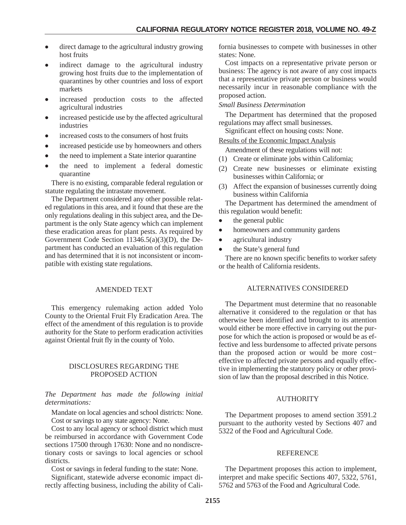- direct damage to the agricultural industry growing host fruits
- indirect damage to the agricultural industry growing host fruits due to the implementation of quarantines by other countries and loss of export markets
- increased production costs to the affected agricultural industries
- increased pesticide use by the affected agricultural industries
- increased costs to the consumers of host fruits
- increased pesticide use by homeowners and others
- the need to implement a State interior quarantine
- the need to implement a federal domestic quarantine

There is no existing, comparable federal regulation or statute regulating the intrastate movement.

The Department considered any other possible related regulations in this area, and it found that these are the only regulations dealing in this subject area, and the Department is the only State agency which can implement these eradication areas for plant pests. As required by Government Code Section 11346.5(a)(3)(D), the Department has conducted an evaluation of this regulation and has determined that it is not inconsistent or incompatible with existing state regulations.

## AMENDED TEXT

This emergency rulemaking action added Yolo County to the Oriental Fruit Fly Eradication Area. The effect of the amendment of this regulation is to provide authority for the State to perform eradication activities against Oriental fruit fly in the county of Yolo.

## DISCLOSURES REGARDING THE PROPOSED ACTION

#### *The Department has made the following initial determinations:*

Mandate on local agencies and school districts: None. Cost or savings to any state agency: None.

Cost to any local agency or school district which must be reimbursed in accordance with Government Code sections 17500 through 17630: None and no nondiscretionary costs or savings to local agencies or school districts.

Cost or savings in federal funding to the state: None.

Significant, statewide adverse economic impact directly affecting business, including the ability of Cali-

fornia businesses to compete with businesses in other states: None.

Cost impacts on a representative private person or business: The agency is not aware of any cost impacts that a representative private person or business would necessarily incur in reasonable compliance with the proposed action.

#### *Small Business Determination*

The Department has determined that the proposed regulations may affect small businesses.

Significant effect on housing costs: None.

#### Results of the Economic Impact Analysis

Amendment of these regulations will not:

- (1) Create or eliminate jobs within California;
- (2) Create new businesses or eliminate existing businesses within California; or
- (3) Affect the expansion of businesses currently doing business within California

The Department has determined the amendment of this regulation would benefit:

- the general public
- $\bullet$ homeowners and community gardens
- $\bullet$ agricultural industry
- $\bullet$ the State's general fund

There are no known specific benefits to worker safety or the health of California residents.

## ALTERNATIVES CONSIDERED

The Department must determine that no reasonable alternative it considered to the regulation or that has otherwise been identified and brought to its attention would either be more effective in carrying out the purpose for which the action is proposed or would be as effective and less burdensome to affected private persons than the proposed action or would be more cost− effective to affected private persons and equally effective in implementing the statutory policy or other provision of law than the proposal described in this Notice.

#### AUTHORITY

The Department proposes to amend section 3591.2 pursuant to the authority vested by Sections 407 and 5322 of the Food and Agricultural Code.

#### **REFERENCE**

The Department proposes this action to implement, interpret and make specific Sections 407, 5322, 5761, 5762 and 5763 of the Food and Agricultural Code.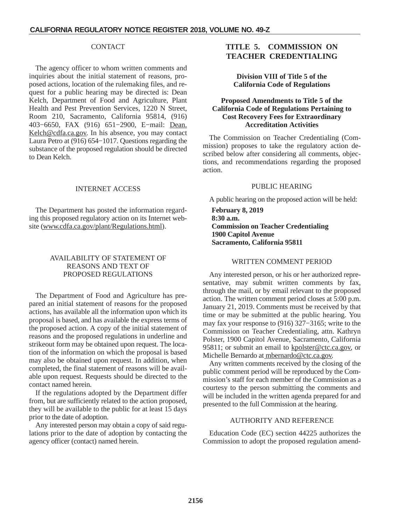#### **CONTACT**

<span id="page-5-0"></span>The agency officer to whom written comments and inquiries about the initial statement of reasons, proposed actions, location of the rulemaking files, and request for a public hearing may be directed is: Dean Kelch, Department of Food and Agriculture, Plant Health and Pest Prevention Services, 1220 N Street, Room 210, Sacramento, California 95814, (916) 403−6650, FAX (916) 651−2900, E−mail: Dean. Kelch@cdfa.ca.gov. In his absence, you may contact Laura Petro at (916) 654−1017. Questions regarding the substance of the proposed regulation should be directed to Dean Kelch.

#### INTERNET ACCESS

The Department has posted the information regarding this proposed regulatory action on its Internet website (www.cdfa.ca.gov/plant/Regulations.html).

#### AVAILABILITY OF STATEMENT OF REASONS AND TEXT OF PROPOSED REGULATIONS

The Department of Food and Agriculture has prepared an initial statement of reasons for the proposed actions, has available all the information upon which its proposal is based, and has available the express terms of the proposed action. A copy of the initial statement of reasons and the proposed regulations in underline and strikeout form may be obtained upon request. The location of the information on which the proposal is based may also be obtained upon request. In addition, when completed, the final statement of reasons will be available upon request. Requests should be directed to the contact named herein.

If the regulations adopted by the Department differ from, but are sufficiently related to the action proposed, they will be available to the public for at least 15 days prior to the date of adoption.

Any interested person may obtain a copy of said regulations prior to the date of adoption by contacting the agency officer (contact) named herein.

## **TITLE 5. COMMISSION ON TEACHER CREDENTIALING**

#### **Division VIII of Title 5 of the California Code of Regulations**

#### **Proposed Amendments to Title 5 of the California Code of Regulations Pertaining to Cost Recovery Fees for Extraordinary Accreditation Activities**

The Commission on Teacher Credentialing (Commission) proposes to take the regulatory action described below after considering all comments, objections, and recommendations regarding the proposed action.

#### PUBLIC HEARING

A public hearing on the proposed action will be held:

**February 8, 2019 8:30 a.m. Commission on Teacher Credentialing 1900 Capitol Avenue Sacramento, California 95811**

#### WRITTEN COMMENT PERIOD

Any interested person, or his or her authorized representative, may submit written comments by fax, through the mail, or by email relevant to the proposed action. The written comment period closes at 5:00 p.m. January 21, 2019. Comments must be received by that time or may be submitted at the public hearing. You may fax your response to (916) 327−3165; write to the Commission on Teacher Credentialing, attn. Kathryn Polster, 1900 Capitol Avenue, Sacramento, California 95811; or submit an email to kpolster@ctc.ca.gov, or Michelle Bernardo at mbernardo@ctc.ca.gov.

Any written comments received by the closing of the public comment period will be reproduced by the Commission's staff for each member of the Commission as a courtesy to the person submitting the comments and will be included in the written agenda prepared for and presented to the full Commission at the hearing.

#### AUTHORITY AND REFERENCE

Education Code (EC) section 44225 authorizes the Commission to adopt the proposed regulation amend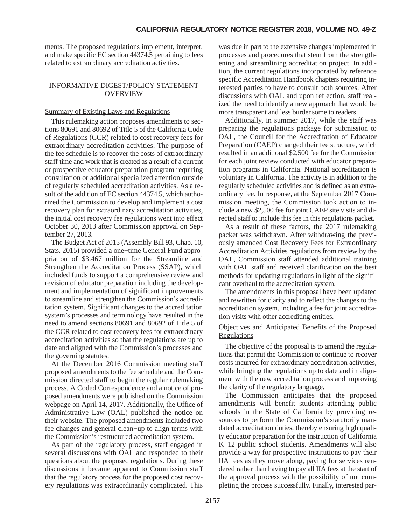ments. The proposed regulations implement, interpret, and make specific EC section 44374.5 pertaining to fees related to extraordinary accreditation activities.

## INFORMATIVE DIGEST/POLICY STATEMENT OVERVIEW

## Summary of Existing Laws and Regulations

This rulemaking action proposes amendments to sections 80691 and 80692 of Title 5 of the California Code of Regulations (CCR) related to cost recovery fees for extraordinary accreditation activities. The purpose of the fee schedule is to recover the costs of extraordinary staff time and work that is created as a result of a current or prospective educator preparation program requiring consultation or additional specialized attention outside of regularly scheduled accreditation activities. As a result of the addition of EC section 44374.5, which authorized the Commission to develop and implement a cost recovery plan for extraordinary accreditation activities, the initial cost recovery fee regulations went into effect October 30, 2013 after Commission approval on September 27, 2013.

The Budget Act of 2015 (Assembly Bill 93, Chap. 10, Stats. 2015) provided a one−time General Fund appropriation of \$3.467 million for the Streamline and Strengthen the Accreditation Process (SSAP), which included funds to support a comprehensive review and revision of educator preparation including the development and implementation of significant improvements to streamline and strengthen the Commission's accreditation system. Significant changes to the accreditation system's processes and terminology have resulted in the need to amend sections 80691 and 80692 of Title 5 of the CCR related to cost recovery fees for extraordinary accreditation activities so that the regulations are up to date and aligned with the Commission's processes and the governing statutes.

At the December 2016 Commission meeting staff proposed amendments to the fee schedule and the Commission directed staff to begin the regular rulemaking process. A Coded Correspondence and a notice of proposed amendments were published on the Commission webpage on April 14, 2017. Additionally, the Office of Administrative Law (OAL) published the notice on their website. The proposed amendments included two fee changes and general clean−up to align terms with the Commission's restructured accreditation system.

As part of the regulatory process, staff engaged in several discussions with OAL and responded to their questions about the proposed regulations. During these discussions it became apparent to Commission staff that the regulatory process for the proposed cost recovery regulations was extraordinarily complicated. This

was due in part to the extensive changes implemented in processes and procedures that stem from the strengthening and streamlining accreditation project. In addition, the current regulations incorporated by reference specific Accreditation Handbook chapters requiring interested parties to have to consult both sources. After discussions with OAL and upon reflection, staff realized the need to identify a new approach that would be more transparent and less burdensome to readers.

Additionally, in summer 2017, while the staff was preparing the regulations package for submission to OAL, the Council for the Accreditation of Educator Preparation (CAEP) changed their fee structure, which resulted in an additional \$2,500 fee for the Commission for each joint review conducted with educator preparation programs in California. National accreditation is voluntary in California. The activity is in addition to the regularly scheduled activities and is defined as an extraordinary fee. In response, at the September 2017 Commission meeting, the Commission took action to include a new \$2,500 fee for joint CAEP site visits and directed staff to include this fee in this regulations packet.

As a result of these factors, the 2017 rulemaking packet was withdrawn. After withdrawing the previously amended Cost Recovery Fees for Extraordinary Accreditation Activities regulations from review by the OAL, Commission staff attended additional training with OAL staff and received clarification on the best methods for updating regulations in light of the significant overhaul to the accreditation system.

The amendments in this proposal have been updated and rewritten for clarity and to reflect the changes to the accreditation system, including a fee for joint accreditation visits with other accrediting entities.

## Objectives and Anticipated Benefits of the Proposed Regulations

The objective of the proposal is to amend the regulations that permit the Commission to continue to recover costs incurred for extraordinary accreditation activities, while bringing the regulations up to date and in alignment with the new accreditation process and improving the clarity of the regulatory language.

The Commission anticipates that the proposed amendments will benefit students attending public schools in the State of California by providing resources to perform the Commission's statutorily mandated accreditation duties, thereby ensuring high quality educator preparation for the instruction of California K−12 public school students. Amendments will also provide a way for prospective institutions to pay their IIA fees as they move along, paying for services rendered rather than having to pay all IIA fees at the start of the approval process with the possibility of not completing the process successfully. Finally, interested par-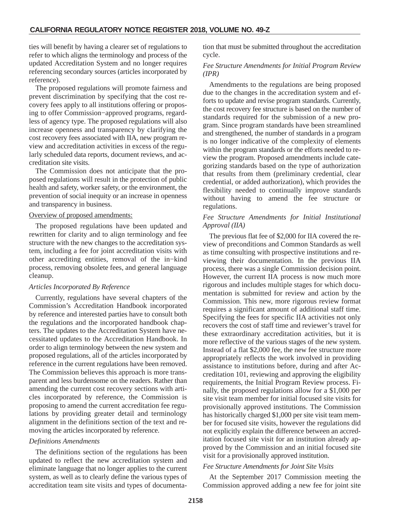ties will benefit by having a clearer set of regulations to refer to which aligns the terminology and process of the updated Accreditation System and no longer requires referencing secondary sources (articles incorporated by reference).

The proposed regulations will promote fairness and prevent discrimination by specifying that the cost recovery fees apply to all institutions offering or proposing to offer Commission−approved programs, regardless of agency type. The proposed regulations will also increase openness and transparency by clarifying the cost recovery fees associated with IIA, new program review and accreditation activities in excess of the regularly scheduled data reports, document reviews, and accreditation site visits.

The Commission does not anticipate that the proposed regulations will result in the protection of public health and safety, worker safety, or the environment, the prevention of social inequity or an increase in openness and transparency in business.

#### Overview of proposed amendments:

The proposed regulations have been updated and rewritten for clarity and to align terminology and fee structure with the new changes to the accreditation system, including a fee for joint accreditation visits with other accrediting entities, removal of the in−kind process, removing obsolete fees, and general language cleanup.

## *Articles Incorporated By Reference*

Currently, regulations have several chapters of the Commission's Accreditation Handbook incorporated by reference and interested parties have to consult both the regulations and the incorporated handbook chapters. The updates to the Accreditation System have necessitated updates to the Accreditation Handbook. In order to align terminology between the new system and proposed regulations, all of the articles incorporated by reference in the current regulations have been removed. The Commission believes this approach is more transparent and less burdensome on the readers. Rather than amending the current cost recovery sections with articles incorporated by reference, the Commission is proposing to amend the current accreditation fee regulations by providing greater detail and terminology alignment in the definitions section of the text and removing the articles incorporated by reference.

## *Definitions Amendments*

The definitions section of the regulations has been updated to reflect the new accreditation system and eliminate language that no longer applies to the current system, as well as to clearly define the various types of accreditation team site visits and types of documentation that must be submitted throughout the accreditation cycle.

## *Fee Structure Amendments for Initial Program Review (IPR)*

Amendments to the regulations are being proposed due to the changes in the accreditation system and efforts to update and revise program standards. Currently, the cost recovery fee structure is based on the number of standards required for the submission of a new program. Since program standards have been streamlined and strengthened, the number of standards in a program is no longer indicative of the complexity of elements within the program standards or the efforts needed to review the program. Proposed amendments include categorizing standards based on the type of authorization that results from them (preliminary credential, clear credential, or added authorization), which provides the flexibility needed to continually improve standards without having to amend the fee structure or regulations.

#### *Fee Structure Amendments for Initial Institutional Approval (IIA)*

The previous flat fee of \$2,000 for IIA covered the review of preconditions and Common Standards as well as time consulting with prospective institutions and reviewing their documentation. In the previous IIA process, there was a single Commission decision point. However, the current IIA process is now much more rigorous and includes multiple stages for which documentation is submitted for review and action by the Commission. This new, more rigorous review format requires a significant amount of additional staff time. Specifying the fees for specific IIA activities not only recovers the cost of staff time and reviewer's travel for these extraordinary accreditation activities, but it is more reflective of the various stages of the new system. Instead of a flat \$2,000 fee, the new fee structure more appropriately reflects the work involved in providing assistance to institutions before, during and after Accreditation 101, reviewing and approving the eligibility requirements, the Initial Program Review process. Finally, the proposed regulations allow for a \$1,000 per site visit team member for initial focused site visits for provisionally approved institutions. The Commission has historically charged \$1,000 per site visit team member for focused site visits, however the regulations did not explicitly explain the difference between an accreditation focused site visit for an institution already approved by the Commission and an initial focused site visit for a provisionally approved institution.

## *Fee Structure Amendments for Joint Site Visits*

At the September 2017 Commission meeting the Commission approved adding a new fee for joint site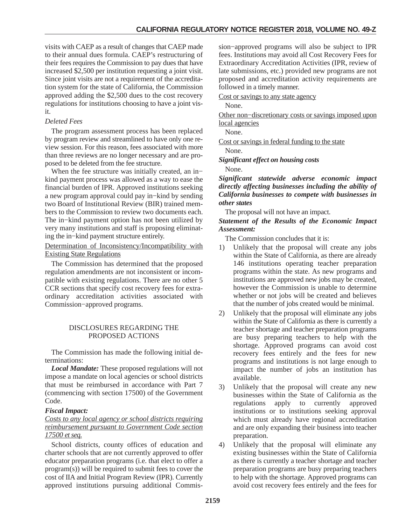visits with CAEP as a result of changes that CAEP made to their annual dues formula. CAEP's restructuring of their fees requires the Commission to pay dues that have increased \$2,500 per institution requesting a joint visit. Since joint visits are not a requirement of the accreditation system for the state of California, the Commission approved adding the \$2,500 dues to the cost recovery regulations for institutions choosing to have a joint visit.

## *Deleted Fees*

The program assessment process has been replaced by program review and streamlined to have only one review session. For this reason, fees associated with more than three reviews are no longer necessary and are proposed to be deleted from the fee structure.

When the fee structure was initially created, an in− kind payment process was allowed as a way to ease the financial burden of IPR. Approved institutions seeking a new program approval could pay in−kind by sending two Board of Institutional Review (BIR) trained members to the Commission to review two documents each. The in−kind payment option has not been utilized by very many institutions and staff is proposing eliminating the in−kind payment structure entirely.

## Determination of Inconsistency/Incompatibility with Existing State Regulations

The Commission has determined that the proposed regulation amendments are not inconsistent or incompatible with existing regulations. There are no other 5 CCR sections that specify cost recovery fees for extraordinary accreditation activities associated with Commission−approved programs.

#### DISCLOSURES REGARDING THE PROPOSED ACTIONS

The Commission has made the following initial determinations:

*Local Mandate:* These proposed regulations will not impose a mandate on local agencies or school districts that must be reimbursed in accordance with Part 7 (commencing with section 17500) of the Government Code.

## *Fiscal Impact:*

*Costs to any local agency or school districts requiring reimbursement pursuant to Government Code section 17500 et seq.*

School districts, county offices of education and charter schools that are not currently approved to offer educator preparation programs (i.e. that elect to offer a program(s)) will be required to submit fees to cover the cost of IIA and Initial Program Review (IPR). Currently approved institutions pursuing additional Commis-

sion−approved programs will also be subject to IPR fees. Institutions may avoid all Cost Recovery Fees for Extraordinary Accreditation Activities (IPR, review of late submissions, etc.) provided new programs are not proposed and accreditation activity requirements are followed in a timely manner.

Cost or savings to any state agency

None.

Other non−discretionary costs or savings imposed upon local agencies

None.

Cost or savings in federal funding to the state

None.

*Significant effect on housing costs*

None.

*Significant statewide adverse economic impact directly affecting businesses including the ability of California businesses to compete with businesses in other states*

The proposal will not have an impact.

## *Statement of the Results of the Economic Impact Assessment:*

The Commission concludes that it is:

- 1) Unlikely that the proposal will create any jobs within the State of California, as there are already 146 institutions operating teacher preparation programs within the state. As new programs and institutions are approved new jobs may be created, however the Commission is unable to determine whether or not jobs will be created and believes that the number of jobs created would be minimal.
- 2) Unlikely that the proposal will eliminate any jobs within the State of California as there is currently a teacher shortage and teacher preparation programs are busy preparing teachers to help with the shortage. Approved programs can avoid cost recovery fees entirely and the fees for new programs and institutions is not large enough to impact the number of jobs an institution has available.
- 3) Unlikely that the proposal will create any new businesses within the State of California as the regulations apply to currently approved institutions or to institutions seeking approval which must already have regional accreditation and are only expanding their business into teacher preparation.
- 4) Unlikely that the proposal will eliminate any existing businesses within the State of California as there is currently a teacher shortage and teacher preparation programs are busy preparing teachers to help with the shortage. Approved programs can avoid cost recovery fees entirely and the fees for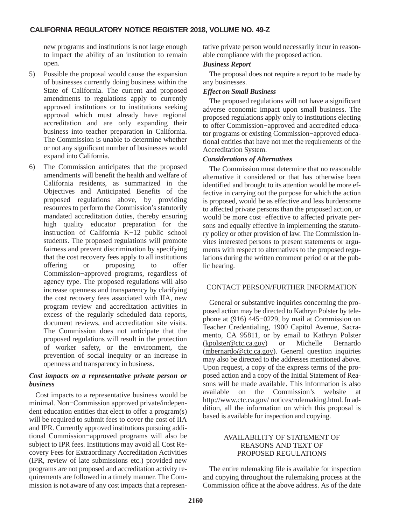new programs and institutions is not large enough to impact the ability of an institution to remain open.

- 5) Possible the proposal would cause the expansion of businesses currently doing business within the State of California. The current and proposed amendments to regulations apply to currently approved institutions or to institutions seeking approval which must already have regional accreditation and are only expanding their business into teacher preparation in California. The Commission is unable to determine whether or not any significant number of businesses would expand into California.
- 6) The Commission anticipates that the proposed amendments will benefit the health and welfare of California residents, as summarized in the Objectives and Anticipated Benefits of the proposed regulations above, by providing resources to perform the Commission's statutorily mandated accreditation duties, thereby ensuring high quality educator preparation for the instruction of California K−12 public school students. The proposed regulations will promote fairness and prevent discrimination by specifying that the cost recovery fees apply to all institutions offering or proposing to offer Commission−approved programs, regardless of agency type. The proposed regulations will also increase openness and transparency by clarifying the cost recovery fees associated with IIA, new program review and accreditation activities in excess of the regularly scheduled data reports, document reviews, and accreditation site visits. The Commission does not anticipate that the proposed regulations will result in the protection of worker safety, or the environment, the prevention of social inequity or an increase in openness and transparency in business.

## *Cost impacts on a representative private person or business*

Cost impacts to a representative business would be minimal. Non−Commission approved private/independent education entities that elect to offer a program(s) will be required to submit fees to cover the cost of IIA and IPR. Currently approved institutions pursuing additional Commission−approved programs will also be subject to IPR fees. Institutions may avoid all Cost Recovery Fees for Extraordinary Accreditation Activities (IPR, review of late submissions etc.) provided new programs are not proposed and accreditation activity requirements are followed in a timely manner. The Commission is not aware of any cost impacts that a representative private person would necessarily incur in reasonable compliance with the proposed action.

## *Business Report*

The proposal does not require a report to be made by any businesses.

## *Effect on Small Business*

The proposed regulations will not have a significant adverse economic impact upon small business. The proposed regulations apply only to institutions electing to offer Commission−approved and accredited educator programs or existing Commission−approved educational entities that have not met the requirements of the Accreditation System.

## *Considerations of Alternatives*

The Commission must determine that no reasonable alternative it considered or that has otherwise been identified and brought to its attention would be more effective in carrying out the purpose for which the action is proposed, would be as effective and less burdensome to affected private persons than the proposed action, or would be more cost−effective to affected private persons and equally effective in implementing the statutory policy or other provision of law. The Commission invites interested persons to present statements or arguments with respect to alternatives to the proposed regulations during the written comment period or at the public hearing.

## CONTACT PERSON/FURTHER INFORMATION

General or substantive inquiries concerning the proposed action may be directed to Kathryn Polster by telephone at (916) 445−0229, by mail at Commission on Teacher Credentialing, 1900 Capitol Avenue, Sacramento, CA 95811, or by email to Kathryn Polster (kpolster@ctc.ca.gov) or Michelle Bernardo (mbernardo@ctc.ca.gov). General question inquiries may also be directed to the addresses mentioned above. Upon request, a copy of the express terms of the proposed action and a copy of the Initial Statement of Reasons will be made available. This information is also available on the Commission's website at http://www.ctc.ca.gov/ notices/rulemaking.html. In addition, all the information on which this proposal is based is available for inspection and copying.

#### AVAILABILITY OF STATEMENT OF REASONS AND TEXT OF PROPOSED REGULATIONS

The entire rulemaking file is available for inspection and copying throughout the rulemaking process at the Commission office at the above address. As of the date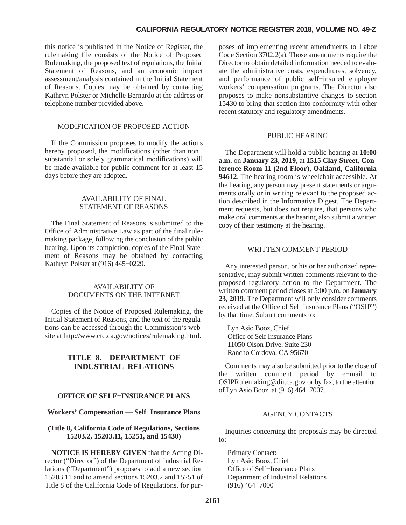<span id="page-10-0"></span>this notice is published in the Notice of Register, the rulemaking file consists of the Notice of Proposed Rulemaking, the proposed text of regulations, the Initial Statement of Reasons, and an economic impact assessment/analysis contained in the Initial Statement of Reasons. Copies may be obtained by contacting Kathryn Polster or Michelle Bernardo at the address or telephone number provided above.

## MODIFICATION OF PROPOSED ACTION

If the Commission proposes to modify the actions hereby proposed, the modifications (other than non− substantial or solely grammatical modifications) will be made available for public comment for at least 15 days before they are adopted.

#### AVAILABILITY OF FINAL STATEMENT OF REASONS

The Final Statement of Reasons is submitted to the Office of Administrative Law as part of the final rulemaking package, following the conclusion of the public hearing. Upon its completion, copies of the Final Statement of Reasons may be obtained by contacting Kathryn Polster at (916) 445−0229.

#### AVAILABILITY OF DOCUMENTS ON THE INTERNET

Copies of the Notice of Proposed Rulemaking, the Initial Statement of Reasons, and the text of the regulations can be accessed through the Commission's website at http://www.ctc.ca.gov/notices/rulemaking.html.

## **TITLE 8. DEPARTMENT OF INDUSTRIAL RELATIONS**

## **OFFICE OF SELF−INSURANCE PLANS**

**Workers' Compensation — Self−Insurance Plans**

## **(Title 8, California Code of Regulations, Sections 15203.2, 15203.11, 15251, and 15430)**

**NOTICE IS HEREBY GIVEN** that the Acting Director ("Director") of the Department of Industrial Relations ("Department") proposes to add a new section 15203.11 and to amend sections 15203.2 and 15251 of Title 8 of the California Code of Regulations, for pur-

poses of implementing recent amendments to Labor Code Section 3702.2(a). Those amendments require the Director to obtain detailed information needed to evaluate the administrative costs, expenditures, solvency, and performance of public self−insured employer workers' compensation programs. The Director also proposes to make nonsubstantive changes to section 15430 to bring that section into conformity with other recent statutory and regulatory amendments.

## PUBLIC HEARING

The Department will hold a public hearing at **10:00 a.m.** on **January 23, 2019**, at **1515 Clay Street, Conference Room 11 (2nd Floor), Oakland, California 94612**. The hearing room is wheelchair accessible. At the hearing, any person may present statements or arguments orally or in writing relevant to the proposed action described in the Informative Digest. The Department requests, but does not require, that persons who make oral comments at the hearing also submit a written copy of their testimony at the hearing.

#### WRITTEN COMMENT PERIOD

Any interested person, or his or her authorized representative, may submit written comments relevant to the proposed regulatory action to the Department. The written comment period closes at 5:00 p.m. on **January 23, 2019**. The Department will only consider comments received at the Office of Self Insurance Plans ("OSIP") by that time. Submit comments to:

Lyn Asio Booz, Chief Office of Self Insurance Plans 11050 Olson Drive, Suite 230 Rancho Cordova, CA 95670

Comments may also be submitted prior to the close of the written comment period by e−mail to OSIPRulemaking@dir.ca.gov or by fax, to the attention of Lyn Asio Booz, at (916) 464−7007.

## AGENCY CONTACTS

Inquiries concerning the proposals may be directed to:

Primary Contact: Lyn Asio Booz, Chief Office of Self−Insurance Plans Department of Industrial Relations (916) 464−7000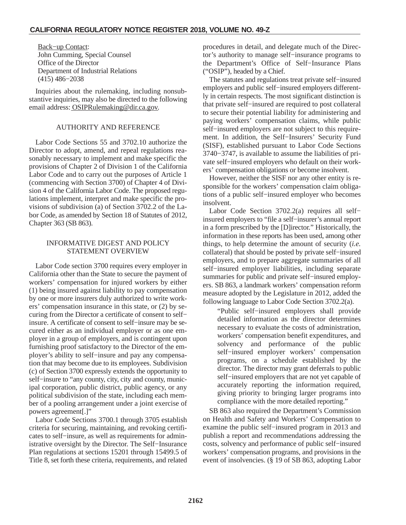Back−up Contact: John Cumming, Special Counsel Office of the Director Department of Industrial Relations (415) 486−2038

Inquiries about the rulemaking, including nonsubstantive inquiries, may also be directed to the following email address: OSIPRulemaking@dir.ca.gov.

## AUTHORITY AND REFERENCE

Labor Code Sections 55 and 3702.10 authorize the Director to adopt, amend, and repeal regulations reasonably necessary to implement and make specific the provisions of Chapter 2 of Division 1 of the California Labor Code and to carry out the purposes of Article 1 (commencing with Section 3700) of Chapter 4 of Division 4 of the California Labor Code. The proposed regulations implement, interpret and make specific the provisions of subdivision (a) of Section 3702.2 of the Labor Code, as amended by Section 18 of Statutes of 2012, Chapter 363 (SB 863).

## INFORMATIVE DIGEST AND POLICY STATEMENT OVERVIEW

Labor Code section 3700 requires every employer in California other than the State to secure the payment of workers' compensation for injured workers by either (1) being insured against liability to pay compensation by one or more insurers duly authorized to write workers' compensation insurance in this state, or (2) by securing from the Director a certificate of consent to self− insure. A certificate of consent to self−insure may be secured either as an individual employer or as one employer in a group of employers, and is contingent upon furnishing proof satisfactory to the Director of the employer's ability to self−insure and pay any compensation that may become due to its employees. Subdivision (c) of Section 3700 expressly extends the opportunity to self-insure to "any county, city, city and county, municipal corporation, public district, public agency, or any political subdivision of the state, including each member of a pooling arrangement under a joint exercise of powers agreement[.]"

Labor Code Sections 3700.1 through 3705 establish criteria for securing, maintaining, and revoking certificates to self−insure, as well as requirements for administrative oversight by the Director. The Self−Insurance Plan regulations at sections 15201 through 15499.5 of Title 8, set forth these criteria, requirements, and related procedures in detail, and delegate much of the Director's authority to manage self−insurance programs to the Department's Office of Self−Insurance Plans ("OSIP"), headed by a Chief.

The statutes and regulations treat private self−insured employers and public self−insured employers differently in certain respects. The most significant distinction is that private self−insured are required to post collateral to secure their potential liability for administering and paying workers' compensation claims, while public self–insured employers are not subject to this requirement. In addition, the Self−Insurers' Security Fund (SISF), established pursuant to Labor Code Sections 3740−3747, is available to assume the liabilities of private self−insured employers who default on their workers' compensation obligations or become insolvent.

However, neither the SISF nor any other entity is responsible for the workers' compensation claim obligations of a public self−insured employer who becomes insolvent.

Labor Code Section 3702.2(a) requires all self− insured employers to "file a self−insurer's annual report in a form prescribed by the [D]irector." Historically, the information in these reports has been used, among other things, to help determine the amount of security (*i.e.* collateral) that should be posted by private self−insured employers, and to prepare aggregate summaries of all self−insured employer liabilities, including separate summaries for public and private self−insured employers. SB 863, a landmark workers' compensation reform measure adopted by the Legislature in 2012, added the following language to Labor Code Section 3702.2(a).

"Public self−insured employers shall provide detailed information as the director determines necessary to evaluate the costs of administration, workers' compensation benefit expenditures, and solvency and performance of the public self−insured employer workers' compensation programs, on a schedule established by the director. The director may grant deferrals to public self−insured employers that are not yet capable of accurately reporting the information required, giving priority to bringing larger programs into compliance with the more detailed reporting."

SB 863 also required the Department's Commission on Health and Safety and Workers' Compensation to examine the public self−insured program in 2013 and publish a report and recommendations addressing the costs, solvency and performance of public self−insured workers' compensation programs, and provisions in the event of insolvencies. (§ 19 of SB 863, adopting Labor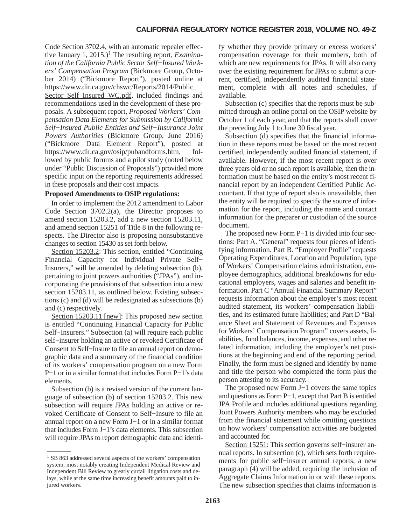Code Section 3702.4, with an automatic repealer effective January 1, 2015.)<sup>1</sup> The resulting report, *Examination of the California Public Sector Self−Insured Workers' Compensation Program* (Bickmore Group, October 2014) ("Bickmore Report"), posted online at https://www.dir.ca.gov/chswc/Reports/2014/Public\_ Sector Self Insured WC.pdf, included findings and recommendations used in the development of these proposals. A subsequent report, *Proposed Workers' Compensation Data Elements for Submission by California Self−Insured Public Entities and Self−Insurance Joint Powers Authorities* (Bickmore Group, June 2016) ("Bickmore Data Element Report"), posted at https://www.dir.ca.gov/osip/pubandforms.htm, followed by public forums and a pilot study (noted below under "Public Discussion of Proposals") provided more specific input on the reporting requirements addressed in these proposals and their cost impacts.

## **Proposed Amendments to OSIP regulations:**

In order to implement the 2012 amendment to Labor Code Section 3702.2(a), the Director proposes to amend section 15203.2, add a new section 15203.11, and amend section 15251 of Title 8 in the following respects. The Director also is proposing nonsubstantive changes to section 15430 as set forth below.

Section 15203.2: This section, entitled "Continuing" Financial Capacity for Individual Private Self− Insurers," will be amended by deleting subsection (b), pertaining to joint powers authorities ("JPAs"), and incorporating the provisions of that subsection into a new section 15203.11, as outlined below. Existing subsections (c) and (d) will be redesignated as subsections (b) and (c) respectively.

Section 15203.11 [new]: This proposed new section is entitled "Continuing Financial Capacity for Public Self−Insurers." Subsection (a) will require each public self−insurer holding an active or revoked Certificate of Consent to Self−Insure to file an annual report on demographic data and a summary of the financial condition of its workers' compensation program on a new Form P−1 or in a similar format that includes Form P−1's data elements.

Subsection (b) is a revised version of the current language of subsection (b) of section 15203.2. This new subsection will require JPAs holding an active or revoked Certificate of Consent to Self−Insure to file an annual report on a new Form J−1 or in a similar format that includes Form J−1's data elements. This subsection will require JPAs to report demographic data and identi-

fy whether they provide primary or excess workers' compensation coverage for their members, both of which are new requirements for JPAs. It will also carry over the existing requirement for JPAs to submit a current, certified, independently audited financial statement, complete with all notes and schedules, if available.

Subsection (c) specifies that the reports must be submitted through an online portal on the OSIP website by October 1 of each year, and that the reports shall cover the preceding July 1 to June 30 fiscal year.

Subsection (d) specifies that the financial information in these reports must be based on the most recent certified, independently audited financial statement, if available. However, if the most recent report is over three years old or no such report is available, then the information must be based on the entity's most recent financial report by an independent Certified Public Accountant. If that type of report also is unavailable, then the entity will be required to specify the source of information for the report, including the name and contact information for the preparer or custodian of the source document.

The proposed new Form P−1 is divided into four sections: Part A. "General" requests four pieces of identifying information. Part B. "Employer Profile" requests Operating Expenditures, Location and Population, type of Workers' Compensation claims administration, employee demographics, additional breakdowns for educational employers, wages and salaries and benefit information. Part C "Annual Financial Summary Report" requests information about the employer's most recent audited statement, its workers' compensation liabilities, and its estimated future liabilities; and Part D "Balance Sheet and Statement of Revenues and Expenses for Workers' Compensation Program" covers assets, liabilities, fund balances, income, expenses, and other related information, including the employer's net positions at the beginning and end of the reporting period. Finally, the form must be signed and identify by name and title the person who completed the form plus the person attesting to its accuracy.

The proposed new Form J−1 covers the same topics and questions as Form P−1, except that Part B is entitled JPA Profile and includes additional questions regarding Joint Powers Authority members who may be excluded from the financial statement while omitting questions on how workers' compensation activities are budgeted and accounted for.

Section 15251: This section governs self–insurer annual reports. In subsection (c), which sets forth requirements for public self−insurer annual reports, a new paragraph (4) will be added, requiring the inclusion of Aggregate Claims Information in or with these reports. The new subsection specifies that claims information is

<sup>1</sup> SB 863 addressed several aspects of the workers' compensation system, most notably creating Independent Medical Review and Independent Bill Review to greatly curtail litigation costs and delays, while at the same time increasing benefit amounts paid to injured workers.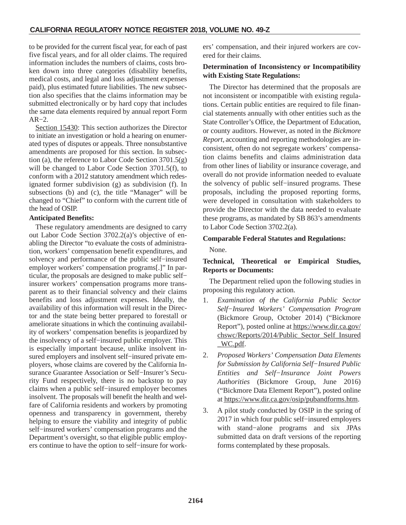to be provided for the current fiscal year, for each of past five fiscal years, and for all older claims. The required information includes the numbers of claims, costs broken down into three categories (disability benefits, medical costs, and legal and loss adjustment expenses paid), plus estimated future liabilities. The new subsection also specifies that the claims information may be submitted electronically or by hard copy that includes the same data elements required by annual report Form  $AR-2$ .

Section 15430: This section authorizes the Director to initiate an investigation or hold a hearing on enumerated types of disputes or appeals. Three nonsubstantive amendments are proposed for this section. In subsection (a), the reference to Labor Code Section 3701.5(g) will be changed to Labor Code Section 3701.5(f), to conform with a 2012 statutory amendment which redesignated former subdivision (g) as subdivision (f). In subsections (b) and (c), the title "Manager" will be changed to "Chief" to conform with the current title of the head of OSIP.

## **Anticipated Benefits:**

These regulatory amendments are designed to carry out Labor Code Section 3702.2(a)'s objective of enabling the Director "to evaluate the costs of administration, workers' compensation benefit expenditures, and solvency and performance of the public self−insured employer workers' compensation programs[.]" In particular, the proposals are designed to make public self− insurer workers' compensation programs more transparent as to their financial solvency and their claims benefits and loss adjustment expenses. Ideally, the availability of this information will result in the Director and the state being better prepared to forestall or ameliorate situations in which the continuing availability of workers' compensation benefits is jeopardized by the insolvency of a self−insured public employer. This is especially important because, unlike insolvent insured employers and insolvent self−insured private employers, whose claims are covered by the California Insurance Guarantee Association or Self−Insurer's Security Fund respectively, there is no backstop to pay claims when a public self−insured employer becomes insolvent. The proposals will benefit the health and welfare of California residents and workers by promoting openness and transparency in government, thereby helping to ensure the viability and integrity of public self−insured workers' compensation programs and the Department's oversight, so that eligible public employers continue to have the option to self−insure for workers' compensation, and their injured workers are covered for their claims.

## **Determination of Inconsistency or Incompatibility with Existing State Regulations:**

The Director has determined that the proposals are not inconsistent or incompatible with existing regulations. Certain public entities are required to file financial statements annually with other entities such as the State Controller's Office, the Department of Education, or county auditors. However, as noted in the *Bickmore Report,* accounting and reporting methodologies are inconsistent, often do not segregate workers' compensation claims benefits and claims administration data from other lines of liability or insurance coverage, and overall do not provide information needed to evaluate the solvency of public self−insured programs. These proposals, including the proposed reporting forms, were developed in consultation with stakeholders to provide the Director with the data needed to evaluate these programs, as mandated by SB 863's amendments to Labor Code Section 3702.2(a).

## **Comparable Federal Statutes and Regulations:**

None.

## **Technical, Theoretical or Empirical Studies, Reports or Documents:**

The Department relied upon the following studies in proposing this regulatory action.

- 1. *Examination of the California Public Sector Self−Insured Workers' Compensation Program* (Bickmore Group, October 2014) ("Bickmore Report"), posted online at https://www.dir.ca.gov/ chswc/Reports/2014/Public\_Sector\_Self\_Insured \_WC.pdf.
- 2. *Proposed Workers' Compensation Data Elements for Submission by California Self−Insured Public Entities and Self−Insurance Joint Powers Authorities* (Bickmore Group, June 2016) ("Bickmore Data Element Report"), posted online at https://www.dir.ca.gov/osip/pubandforms.htm.
- 3. A pilot study conducted by OSIP in the spring of 2017 in which four public self−insured employers with stand−alone programs and six JPAs submitted data on draft versions of the reporting forms contemplated by these proposals.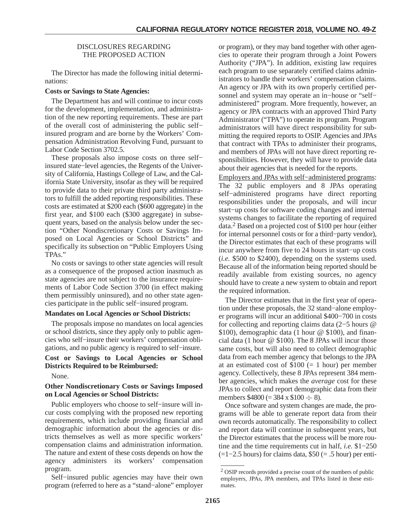## DISCLOSURES REGARDING THE PROPOSED ACTION

The Director has made the following initial determinations:

## **Costs or Savings to State Agencies:**

The Department has and will continue to incur costs for the development, implementation, and administration of the new reporting requirements. These are part of the overall cost of administering the public self− insured program and are borne by the Workers' Compensation Administration Revolving Fund, pursuant to Labor Code Section 3702.5.

These proposals also impose costs on three self− insured state−level agencies, the Regents of the University of California, Hastings College of Law, and the California State University, insofar as they will be required to provide data to their private third party administrators to fulfill the added reporting responsibilities. These costs are estimated at \$200 each (\$600 aggregate) in the first year, and \$100 each (\$300 aggregate) in subsequent years, based on the analysis below under the section "Other Nondiscretionary Costs or Savings Imposed on Local Agencies or School Districts" and specifically its subsection on "Public Employers Using TPAs."

No costs or savings to other state agencies will result as a consequence of the proposed action inasmuch as state agencies are not subject to the insurance requirements of Labor Code Section 3700 (in effect making them permissibly uninsured), and no other state agencies participate in the public self−insured program.

## **Mandates on Local Agencies or School Districts:**

The proposals impose no mandates on local agencies or school districts, since they apply only to public agencies who self−insure their workers' compensation obligations, and no public agency is required to self−insure.

## **Cost or Savings to Local Agencies or School Districts Required to be Reimbursed:**

None.

## **Other Nondiscretionary Costs or Savings Imposed on Local Agencies or School Districts:**

Public employers who choose to self−insure will incur costs complying with the proposed new reporting requirements, which include providing financial and demographic information about the agencies or districts themselves as well as more specific workers' compensation claims and administration information. The nature and extent of these costs depends on how the agency administers its workers' compensation program.

Self−insured public agencies may have their own program (referred to here as a "stand−alone" employer

or program), or they may band together with other agencies to operate their program through a Joint Powers Authority ("JPA"). In addition, existing law requires each program to use separately certified claims administrators to handle their workers' compensation claims. An agency or JPA with its own properly certified personnel and system may operate an in−house or "self− administered" program. More frequently, however, an agency or JPA contracts with an approved Third Party Administrator ("TPA") to operate its program. Program administrators will have direct responsibility for submitting the required reports to OSIP. Agencies and JPAs that contract with TPAs to administer their programs, and members of JPAs will not have direct reporting responsibilities. However, they will have to provide data about their agencies that is needed for the reports.

Employers and JPAs with self−administered programs: The 32 public employers and 8 JPAs operating self−administered programs have direct reporting responsibilities under the proposals, and will incur start−up costs for software coding changes and internal systems changes to facilitate the reporting of required data.2 Based on a projected cost of \$100 per hour (either for internal personnel costs or for a third−party vendor), the Director estimates that each of these programs will incur anywhere from five to 24 hours in start−up costs (*i.e.* \$500 to \$2400), depending on the systems used. Because all of the information being reported should be readily available from existing sources, no agency should have to create a new system to obtain and report the required information.

The Director estimates that in the first year of operation under these proposals, the 32 stand−alone employer programs will incur an additional \$400−700 in costs for collecting and reporting claims data (2−5 hours @ \$100), demographic data (1 hour @ \$100), and financial data (1 hour @ \$100). The 8 JPAs will incur those same costs, but will also need to collect demographic data from each member agency that belongs to the JPA at an estimated cost of  $$100 (= 1 hour)$  per member agency. Collectively, these 8 JPAs represent 384 member agencies, which makes the *average* cost for these JPAs to collect and report demographic data from their members  $$4800 (= 384 \times $100 \div 8).$ 

Once software and system changes are made, the programs will be able to generate report data from their own records automatically. The responsibility to collect and report data will continue in subsequent years, but the Director estimates that the process will be more routine and the time requirements cut in half, *i.e.* \$1−250  $(=1-2.5$  hours) for claims data, \$50 (= .5 hour) per enti-

<sup>2</sup> OSIP records provided a precise count of the numbers of public employers, JPAs, JPA members, and TPAs listed in these estimates.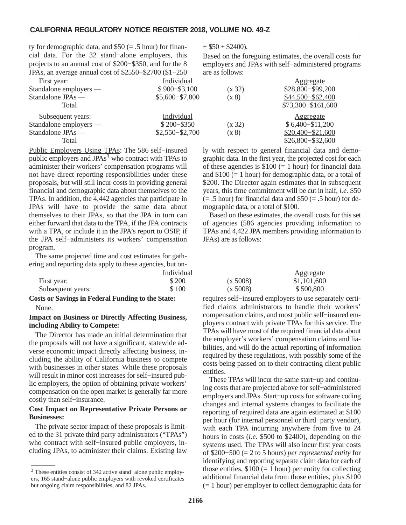ty for demographic data, and  $$50 (= .5 hour)$  for financial data. For the 32 stand−alone employers, this projects to an annual cost of \$200−\$350, and for the 8 JPAs, an average annual cost of \$2550−\$2700 (\$1−250

| $\frac{1}{2}$ and $\frac{1}{2}$ . The contribution of $\frac{1}{2}$ and $\frac{1}{2}$ and $\frac{1}{2}$ and $\frac{1}{2}$ and $\frac{1}{2}$ and $\frac{1}{2}$ and $\frac{1}{2}$ and $\frac{1}{2}$ and $\frac{1}{2}$ and $\frac{1}{2}$ and $\frac{1}{2}$ and $\frac{1}{2}$ and $\frac{1}{2$ |                   |  |
|--------------------------------------------------------------------------------------------------------------------------------------------------------------------------------------------------------------------------------------------------------------------------------------------|-------------------|--|
| First year:                                                                                                                                                                                                                                                                                | Individual        |  |
| Standalone employers —                                                                                                                                                                                                                                                                     | $$900 - $3,100$   |  |
| Standalone JPAs —                                                                                                                                                                                                                                                                          | \$5,600-\$7,800   |  |
| Total                                                                                                                                                                                                                                                                                      |                   |  |
| Subsequent years:                                                                                                                                                                                                                                                                          | Individual        |  |
| Standalone employers —                                                                                                                                                                                                                                                                     | $$200 - $350$     |  |
| Standalone JPAs —                                                                                                                                                                                                                                                                          | $$2,550 - $2,700$ |  |
|                                                                                                                                                                                                                                                                                            |                   |  |

Public Employers Using TPAs: public employers and  $JPAs<sup>3</sup>$  who contract with TPAs to administer their workers' compensation programs will not have direct reporting responsibilities under these proposals, but will still incur costs in providing general financial and demographic data about themselves to the TPAs. In addition, the 4,442 agencies that participate in JPAs will have to provide the same data about themselves to their JPAs, so that the JPA in turn can either forward that data to the TPA, if the JPA contracts with a TPA, or include it in the JPA's report to OSIP, if the JPA self−administers its workers' compensation program.

The same projected time and cost estimates for gathering and reporting data apply to these agencies, but on-

| .                 |            |          |                  |
|-------------------|------------|----------|------------------|
|                   | Individual |          | <u>Aggregate</u> |
| First year:       | \$200      | (x 5008) | \$1,101,600      |
| Subsequent years: | \$100      | (x 5008) | \$500,800        |

#### **Costs or Savings in Federal Funding to the State:** None.

#### **Impact on Business or Directly Affecting Business, including Ability to Compete:**

The Director has made an initial determination that the proposals will not have a significant, statewide adverse economic impact directly affecting business, including the ability of California business to compete with businesses in other states. While these proposals will result in minor cost increases for self−insured public employers, the option of obtaining private workers' compensation on the open market is generally far more costly than self−insurance.

## **Cost Impact on Representative Private Persons or Businesses:**

The private sector impact of these proposals is limited to the 31 private third party administrators ("TPAs") who contract with self−insured public employers, including JPAs, to administer their claims. Existing law  $+$  \$50 + \$2400).

Based on the foregoing estimates, the overall costs for employers and JPAs with self−administered programs are as follows:

| First year:                                       | Individual        |        | <u>Aggregate</u>                              |
|---------------------------------------------------|-------------------|--------|-----------------------------------------------|
| Standalone employers —                            | $$900 - $3,100$   | (x 32) | \$28,800-\$99,200                             |
| Standalone JPAs —                                 | $$5,600 - $7,800$ | (x 8)  | $$44,500 - $62,400$                           |
| Total                                             |                   |        | \$73,300-\$161,600                            |
| Subsequent years:                                 | Individual        |        | <u>Aggregate</u>                              |
| Standalone employers —                            | $$200 - $350$     | (x 32) | $$6,400 - $11,200$                            |
| Standalone JPAs —                                 | $$2,550 - $2,700$ | (x 8)  | $$20,400 - $21,600$                           |
| Total                                             |                   |        | $$26,800 - $32,600$                           |
| Public Employers Using TPAs: The 586 self-insured |                   |        | ly with respect to general financial data and |

ly with respect to general financial data and demographic data. In the first year, the projected cost for each of these agencies is  $$100 (= 1 hour)$  for financial data and  $$100 (= 1 hour)$  for demographic data, or a total of \$200. The Director again estimates that in subsequent years, this time commitment will be cut in half, *i.e.* \$50  $(= .5$  hour) for financial data and \$50  $(= .5$  hour) for demographic data, or a total of \$100.

Based on these estimates, the overall costs for this set of agencies (586 agencies providing information to TPAs and 4,422 JPA members providing information to JPAs) are as follows:

|          | <u>Aggregate</u> |
|----------|------------------|
| (x 5008) | \$1,101,600      |
| (x 5008) | \$500,800        |

requires self−insured employers to use separately certified claims administrators to handle their workers' compensation claims, and most public self−insured employers contract with private TPAs for this service. The TPAs will have most of the required financial data about the employer's workers' compensation claims and liabilities, and will do the actual reporting of information required by these regulations, with possibly some of the costs being passed on to their contracting client public entities.

These TPAs will incur the same start−up and continuing costs that are projected above for self−administered employers and JPAs. Start−up costs for software coding changes and internal systems changes to facilitate the reporting of required data are again estimated at \$100 per hour (for internal personnel or third−party vendor), with each TPA incurring anywhere from five to 24 hours in costs (*i.e.* \$500 to \$2400), depending on the systems used. The TPAs will also incur first year costs of \$200−500 (= 2 to 5 hours) *per represented entity* for identifying and reporting separate claim data for each of those entities,  $$100 (= 1 hour)$  per entity for collecting additional financial data from those entities, plus \$100 (= 1 hour) per employer to collect demographic data for

<sup>3</sup> These entities consist of 342 active stand−alone public employers, 165 stand−alone public employers with revoked certificates but ongoing claim responsibilities, and 82 JPAs.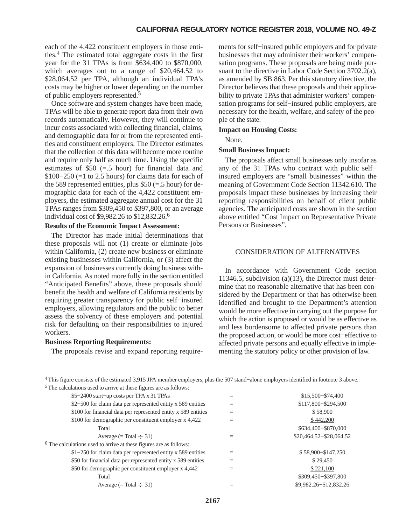each of the 4,422 constituent employers in those entities.4 The estimated total aggregate costs in the first year for the 31 TPAs is from \$634,400 to \$870,000, which averages out to a range of \$20,464.52 to \$28,064.52 per TPA, although an individual TPA's costs may be higher or lower depending on the number of public employers represented.5

Once software and system changes have been made, TPAs will be able to generate report data from their own records automatically. However, they will continue to incur costs associated with collecting financial, claims, and demographic data for or from the represented entities and constituent employers. The Director estimates that the collection of this data will become more routine and require only half as much time. Using the specific estimates of  $$50 (=.5 hour)$  for financial data and \$100−250 (=1 to 2.5 hours) for claims data for each of the 589 represented entities, plus  $$50 (= .5$  hour) for demographic data for each of the 4,422 constituent employers, the estimated aggregate annual cost for the 31 TPAs ranges from \$309,450 to \$397,800, or an average individual cost of \$9,982.26 to \$12,832.26.6

#### **Results of the Economic Impact Assessment:**

The Director has made initial determinations that these proposals will not (1) create or eliminate jobs within California, (2) create new business or eliminate existing businesses within California, or (3) affect the expansion of businesses currently doing business within California. As noted more fully in the section entitled "Anticipated Benefits" above, these proposals should benefit the health and welfare of California residents by requiring greater transparency for public self−insured employers, allowing regulators and the public to better assess the solvency of these employers and potential risk for defaulting on their responsibilities to injured workers.

#### **Business Reporting Requirements:**

The proposals revise and expand reporting require-

ments for self−insured public employers and for private businesses that may administer their workers' compensation programs. These proposals are being made pursuant to the directive in Labor Code Section 3702.2(a), as amended by SB 863. Per this statutory directive, the Director believes that these proposals and their applicability to private TPAs that administer workers' compensation programs for self−insured public employers, are necessary for the health, welfare, and safety of the people of the state.

#### **Impact on Housing Costs:**

None.

#### **Small Business Impact:**

The proposals affect small businesses only insofar as any of the 31 TPAs who contract with public self− insured employers are "small businesses" within the meaning of Government Code Section 11342.610. The proposals impact these businesses by increasing their reporting responsibilities on behalf of client public agencies. The anticipated costs are shown in the section above entitled "Cost Impact on Representative Private Persons or Businesses".

#### CONSIDERATION OF ALTERNATIVES

In accordance with Government Code section 11346.5, subdivision (a)(13), the Director must determine that no reasonable alternative that has been considered by the Department or that has otherwise been identified and brought to the Department's attention would be more effective in carrying out the purpose for which the action is proposed or would be as effective as and less burdensome to affected private persons than the proposed action, or would be more cost−effective to affected private persons and equally effective in implementing the statutory policy or other provision of law.

| <sup>4</sup> This figure consists of the estimated 3,915 JPA member employers, plus the 507 stand-alone employers identified in footnote 3 above. |  |
|---------------------------------------------------------------------------------------------------------------------------------------------------|--|
| <sup>5</sup> The calculations used to arrive at these figures are as follows:                                                                     |  |

| \$5-2400 start-up costs per TPA x 31 TPAs                                     |     | \$15,500-\$74,400       |
|-------------------------------------------------------------------------------|-----|-------------------------|
| \$2-500 for claim data per represented entity x 589 entities                  | $=$ | \$117,800-\$294,500     |
| \$100 for financial data per represented entity x 589 entities                | Ξ   | \$58,900                |
| \$100 for demographic per constituent employer x 4,422                        |     | \$442,200               |
| Total                                                                         |     | \$634,400-\$870,000     |
| Average (= Total $\div$ 31)                                                   | $=$ | \$20,464.52-\$28,064.52 |
| <sup>6</sup> The calculations used to arrive at these figures are as follows: |     |                         |
| $$1-250$ for claim data per represented entity x 589 entities                 | $=$ | \$58,900-\$147,250      |
| \$50 for financial data per represented entity x 589 entities                 | $=$ | \$29,450                |
| \$50 for demographic per constituent employer x 4,442                         |     | \$221,100               |
| Total                                                                         |     | \$309,450-\$397,800     |
| Average (= Total $\div$ 31)                                                   |     | \$9,982.26-\$12,832.26  |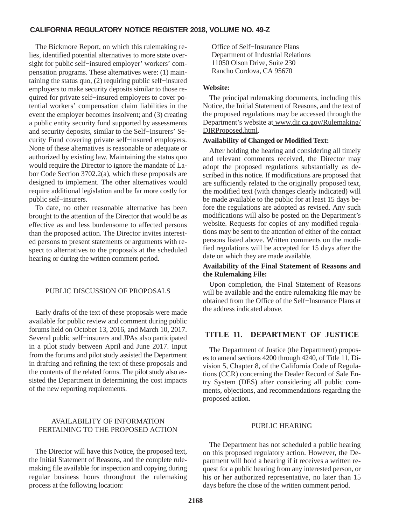<span id="page-17-0"></span>The Bickmore Report, on which this rulemaking relies, identified potential alternatives to more state oversight for public self−insured employer' workers' compensation programs. These alternatives were: (1) maintaining the status quo, (2) requiring public self−insured employers to make security deposits similar to those required for private self−insured employers to cover potential workers' compensation claim liabilities in the event the employer becomes insolvent; and (3) creating a public entity security fund supported by assessments and security deposits, similar to the Self−Insurers' Security Fund covering private self−insured employers. None of these alternatives is reasonable or adequate or authorized by existing law. Maintaining the status quo would require the Director to ignore the mandate of Labor Code Section 3702.2(a), which these proposals are designed to implement. The other alternatives would require additional legislation and be far more costly for public self−insurers.

To date, no other reasonable alternative has been brought to the attention of the Director that would be as effective as and less burdensome to affected persons than the proposed action. The Director invites interested persons to present statements or arguments with respect to alternatives to the proposals at the scheduled hearing or during the written comment period.

## PUBLIC DISCUSSION OF PROPOSALS

Early drafts of the text of these proposals were made available for public review and comment during public forums held on October 13, 2016, and March 10, 2017. Several public self−insurers and JPAs also participated in a pilot study between April and June 2017. Input from the forums and pilot study assisted the Department in drafting and refining the text of these proposals and the contents of the related forms. The pilot study also assisted the Department in determining the cost impacts of the new reporting requirements.

## AVAILABILITY OF INFORMATION PERTAINING TO THE PROPOSED ACTION

The Director will have this Notice, the proposed text, the Initial Statement of Reasons, and the complete rulemaking file available for inspection and copying during regular business hours throughout the rulemaking process at the following location:

Office of Self−Insurance Plans Department of Industrial Relations 11050 Olson Drive, Suite 230 Rancho Cordova, CA 95670

#### **Website:**

The principal rulemaking documents, including this Notice, the Initial Statement of Reasons, and the text of the proposed regulations may be accessed through the Department's website at www.dir.ca.gov/Rulemaking/ DIRProposed.html.

#### **Availability of Changed or Modified Text:**

After holding the hearing and considering all timely and relevant comments received, the Director may adopt the proposed regulations substantially as described in this notice. If modifications are proposed that are sufficiently related to the originally proposed text, the modified text (with changes clearly indicated) will be made available to the public for at least 15 days before the regulations are adopted as revised. Any such modifications will also be posted on the Department's website. Requests for copies of any modified regulations may be sent to the attention of either of the contact persons listed above. Written comments on the modified regulations will be accepted for 15 days after the date on which they are made available.

## **Availability of the Final Statement of Reasons and the Rulemaking File:**

Upon completion, the Final Statement of Reasons will be available and the entire rulemaking file may be obtained from the Office of the Self−Insurance Plans at the address indicated above.

## **TITLE 11. DEPARTMENT OF JUSTICE**

The Department of Justice (the Department) proposes to amend sections 4200 through 4240, of Title 11, Division 5, Chapter 8, of the California Code of Regulations (CCR) concerning the Dealer Record of Sale Entry System (DES) after considering all public comments, objections, and recommendations regarding the proposed action.

#### PUBLIC HEARING

The Department has not scheduled a public hearing on this proposed regulatory action. However, the Department will hold a hearing if it receives a written request for a public hearing from any interested person, or his or her authorized representative, no later than 15 days before the close of the written comment period.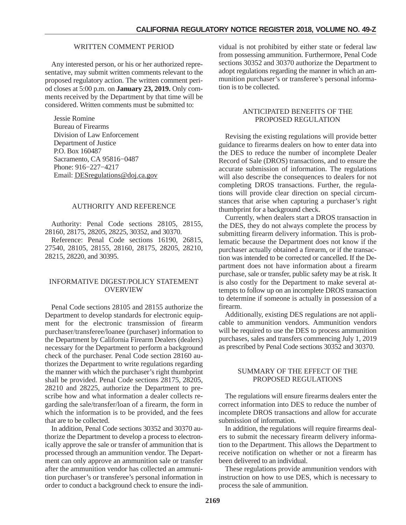#### WRITTEN COMMENT PERIOD

Any interested person, or his or her authorized representative, may submit written comments relevant to the proposed regulatory action. The written comment period closes at 5:00 p.m. on **January 23, 2019.** Only comments received by the Department by that time will be considered. Written comments must be submitted to:

Jessie Romine Bureau of Firearms Division of Law Enforcement Department of Justice P.O. Box 160487 Sacramento, CA 95816−0487 Phone: 916−227−4217 Email: DESregulations@doj.ca.gov

#### AUTHORITY AND REFERENCE

Authority: Penal Code sections 28105, 28155, 28160, 28175, 28205, 28225, 30352, and 30370. Reference: Penal Code sections 16190, 26815, 27540, 28105, 28155, 28160, 28175, 28205, 28210, 28215, 28220, and 30395.

#### INFORMATIVE DIGEST/POLICY STATEMENT **OVERVIEW**

Penal Code sections 28105 and 28155 authorize the Department to develop standards for electronic equipment for the electronic transmission of firearm purchaser/transferee/loanee (purchaser) information to the Department by California Firearm Dealers (dealers) necessary for the Department to perform a background check of the purchaser. Penal Code section 28160 authorizes the Department to write regulations regarding the manner with which the purchaser's right thumbprint shall be provided. Penal Code sections 28175, 28205, 28210 and 28225, authorize the Department to prescribe how and what information a dealer collects regarding the sale/transfer/loan of a firearm, the form in which the information is to be provided, and the fees that are to be collected.

In addition, Penal Code sections 30352 and 30370 authorize the Department to develop a process to electronically approve the sale or transfer of ammunition that is processed through an ammunition vendor. The Department can only approve an ammunition sale or transfer after the ammunition vendor has collected an ammunition purchaser's or transferee's personal information in order to conduct a background check to ensure the indi-

vidual is not prohibited by either state or federal law from possessing ammunition. Furthermore, Penal Code sections 30352 and 30370 authorize the Department to adopt regulations regarding the manner in which an ammunition purchaser's or transferee's personal information is to be collected.

#### ANTICIPATED BENEFITS OF THE PROPOSED REGULATION

Revising the existing regulations will provide better guidance to firearms dealers on how to enter data into the DES to reduce the number of incomplete Dealer Record of Sale (DROS) transactions, and to ensure the accurate submission of information. The regulations will also describe the consequences to dealers for not completing DROS transactions. Further, the regulations will provide clear direction on special circumstances that arise when capturing a purchaser's right thumbprint for a background check.

Currently, when dealers start a DROS transaction in the DES, they do not always complete the process by submitting firearm delivery information. This is problematic because the Department does not know if the purchaser actually obtained a firearm, or if the transaction was intended to be corrected or cancelled. If the Department does not have information about a firearm purchase, sale or transfer, public safety may be at risk. It is also costly for the Department to make several attempts to follow up on an incomplete DROS transaction to determine if someone is actually in possession of a firearm.

Additionally, existing DES regulations are not applicable to ammunition vendors. Ammunition vendors will be required to use the DES to process ammunition purchases, sales and transfers commencing July 1, 2019 as prescribed by Penal Code sections 30352 and 30370.

#### SUMMARY OF THE EFFECT OF THE PROPOSED REGULATIONS

The regulations will ensure firearms dealers enter the correct information into DES to reduce the number of incomplete DROS transactions and allow for accurate submission of information.

In addition, the regulations will require firearms dealers to submit the necessary firearm delivery information to the Department. This allows the Department to receive notification on whether or not a firearm has been delivered to an individual.

These regulations provide ammunition vendors with instruction on how to use DES, which is necessary to process the sale of ammunition.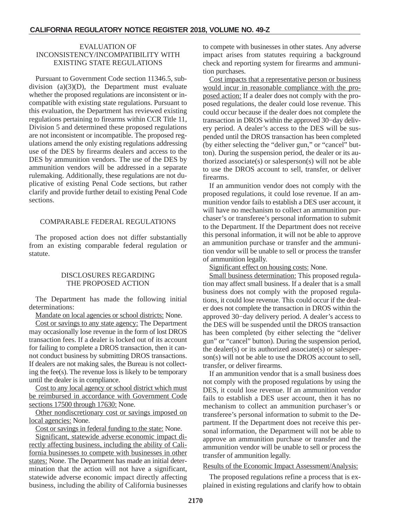## EVALUATION OF INCONSISTENCY/INCOMPATIBILITY WITH EXISTING STATE REGULATIONS

Pursuant to Government Code section 11346.5, subdivision  $(a)(3)(D)$ , the Department must evaluate whether the proposed regulations are inconsistent or incompatible with existing state regulations. Pursuant to this evaluation, the Department has reviewed existing regulations pertaining to firearms within CCR Title 11, Division 5 and determined these proposed regulations are not inconsistent or incompatible. The proposed regulations amend the only existing regulations addressing use of the DES by firearms dealers and access to the DES by ammunition vendors. The use of the DES by ammunition vendors will be addressed in a separate rulemaking. Additionally, these regulations are not duplicative of existing Penal Code sections, but rather clarify and provide further detail to existing Penal Code sections.

#### COMPARABLE FEDERAL REGULATIONS

The proposed action does not differ substantially from an existing comparable federal regulation or statute.

#### DISCLOSURES REGARDING THE PROPOSED ACTION

The Department has made the following initial determinations:

Mandate on local agencies or school districts: None.

Cost or savings to any state agency: The Department may occasionally lose revenue in the form of lost DROS transaction fees. If a dealer is locked out of its account for failing to complete a DROS transaction, then it cannot conduct business by submitting DROS transactions. If dealers are not making sales, the Bureau is not collecting the fee(s). The revenue loss is likely to be temporary until the dealer is in compliance.

Cost to any local agency or school district which must be reimbursed in accordance with Government Code sections 17500 through 17630: None.

Other nondiscretionary cost or savings imposed on local agencies: None.

Cost or savings in federal funding to the state: None.

Significant, statewide adverse economic impact directly affecting business, including the ability of California businesses to compete with businesses in other states: None. The Department has made an initial determination that the action will not have a significant, statewide adverse economic impact directly affecting business, including the ability of California businesses to compete with businesses in other states. Any adverse impact arises from statutes requiring a background check and reporting system for firearms and ammunition purchases.

Cost impacts that a representative person or business would incur in reasonable compliance with the proposed action: If a dealer does not comply with the proposed regulations, the dealer could lose revenue. This could occur because if the dealer does not complete the transaction in DROS within the approved 30−day delivery period. A dealer's access to the DES will be suspended until the DROS transaction has been completed (by either selecting the "deliver gun," or "cancel" button). During the suspension period, the dealer or its authorized associate(s) or salesperson(s) will not be able to use the DROS account to sell, transfer, or deliver firearms.

If an ammunition vendor does not comply with the proposed regulations, it could lose revenue. If an ammunition vendor fails to establish a DES user account, it will have no mechanism to collect an ammunition purchaser's or transferee's personal information to submit to the Department. If the Department does not receive this personal information, it will not be able to approve an ammunition purchase or transfer and the ammunition vendor will be unable to sell or process the transfer of ammunition legally.

Significant effect on housing costs: None.

Small business determination: This proposed regulation may affect small business. If a dealer that is a small business does not comply with the proposed regulations, it could lose revenue. This could occur if the dealer does not complete the transaction in DROS within the approved 30−day delivery period. A dealer's access to the DES will be suspended until the DROS transaction has been completed (by either selecting the "deliver gun" or "cancel" button). During the suspension period, the dealer(s) or its authorized associate(s) or salesperson(s) will not be able to use the DROS account to sell, transfer, or deliver firearms.

If an ammunition vendor that is a small business does not comply with the proposed regulations by using the DES, it could lose revenue. If an ammunition vendor fails to establish a DES user account, then it has no mechanism to collect an ammunition purchaser's or transferee's personal information to submit to the Department. If the Department does not receive this personal information, the Department will not be able to approve an ammunition purchase or transfer and the ammunition vendor will be unable to sell or process the transfer of ammunition legally.

#### Results of the Economic Impact Assessment/Analysis:

The proposed regulations refine a process that is explained in existing regulations and clarify how to obtain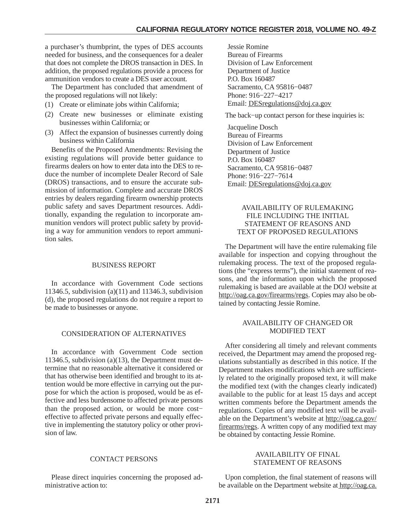a purchaser's thumbprint, the types of DES accounts needed for business, and the consequences for a dealer that does not complete the DROS transaction in DES. In addition, the proposed regulations provide a process for ammunition vendors to create a DES user account.

The Department has concluded that amendment of the proposed regulations will not likely:

- (1) Create or eliminate jobs within California;
- (2) Create new businesses or eliminate existing businesses within California; or
- (3) Affect the expansion of businesses currently doing business within California

Benefits of the Proposed Amendments: Revising the existing regulations will provide better guidance to firearms dealers on how to enter data into the DES to reduce the number of incomplete Dealer Record of Sale (DROS) transactions, and to ensure the accurate submission of information. Complete and accurate DROS entries by dealers regarding firearm ownership protects public safety and saves Department resources. Additionally, expanding the regulation to incorporate ammunition vendors will protect public safety by providing a way for ammunition vendors to report ammunition sales.

## BUSINESS REPORT

In accordance with Government Code sections 11346.5, subdivision (a)(11) and 11346.3, subdivision (d), the proposed regulations do not require a report to be made to businesses or anyone.

## CONSIDERATION OF ALTERNATIVES

In accordance with Government Code section 11346.5, subdivision (a)(13), the Department must determine that no reasonable alternative it considered or that has otherwise been identified and brought to its attention would be more effective in carrying out the purpose for which the action is proposed, would be as effective and less burdensome to affected private persons than the proposed action, or would be more cost− effective to affected private persons and equally effective in implementing the statutory policy or other provision of law.

#### CONTACT PERSONS

Please direct inquiries concerning the proposed administrative action to:

Jessie Romine Bureau of Firearms Division of Law Enforcement Department of Justice P.O. Box 160487 Sacramento, CA 95816−0487 Phone: 916−227−4217 Email: DESregulations@doj.ca.gov

The back−up contact person for these inquiries is:

Jacqueline Dosch Bureau of Firearms Division of Law Enforcement Department of Justice P.O. Box 160487 Sacramento, CA 95816−0487 Phone: 916−227−7614 Email: DESregulations@doj.ca.gov

#### AVAILABILITY OF RULEMAKING FILE INCLUDING THE INITIAL STATEMENT OF REASONS AND TEXT OF PROPOSED REGULATIONS

The Department will have the entire rulemaking file available for inspection and copying throughout the rulemaking process. The text of the proposed regulations (the "express terms"), the initial statement of reasons, and the information upon which the proposed rulemaking is based are available at the DOJ website at http://oag.ca.gov/firearms/regs. Copies may also be obtained by contacting Jessie Romine.

## AVAILABILITY OF CHANGED OR MODIFIED TEXT

After considering all timely and relevant comments received, the Department may amend the proposed regulations substantially as described in this notice. If the Department makes modifications which are sufficiently related to the originally proposed text, it will make the modified text (with the changes clearly indicated) available to the public for at least 15 days and accept written comments before the Department amends the regulations. Copies of any modified text will be available on the Department's website at http://oag.ca.gov/ firearms/regs. A written copy of any modified text may be obtained by contacting Jessie Romine.

#### AVAILABILITY OF FINAL STATEMENT OF REASONS

Upon completion, the final statement of reasons will be available on the Department website at http://oag.ca.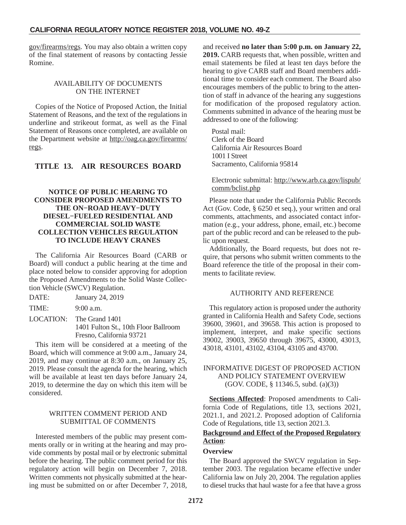<span id="page-21-0"></span>gov/firearms/regs. You may also obtain a written copy of the final statement of reasons by contacting Jessie Romine.

#### AVAILABILITY OF DOCUMENTS ON THE INTERNET

Copies of the Notice of Proposed Action, the Initial Statement of Reasons, and the text of the regulations in underline and strikeout format, as well as the Final Statement of Reasons once completed, are available on the Department website at http://oag.ca.gov/firearms/ regs.

## **TITLE 13. AIR RESOURCES BOARD**

#### **NOTICE OF PUBLIC HEARING TO CONSIDER PROPOSED AMENDMENTS TO THE ON−ROAD HEAVY−DUTY DIESEL−FUELED RESIDENTIAL AND COMMERCIAL SOLID WASTE COLLECTION VEHICLES REGULATION TO INCLUDE HEAVY CRANES**

The California Air Resources Board (CARB or Board) will conduct a public hearing at the time and place noted below to consider approving for adoption the Proposed Amendments to the Solid Waste Collection Vehicle (SWCV) Regulation.

DATE: January 24, 2019

 $TIME: 9.00 a m$ 

LOCATION: The Grand 1401 1401 Fulton St., 10th Floor Ballroom Fresno, California 93721

This item will be considered at a meeting of the Board, which will commence at 9:00 a.m., January 24, 2019, and may continue at 8:30 a.m., on January 25, 2019. Please consult the agenda for the hearing, which will be available at least ten days before January 24, 2019, to determine the day on which this item will be considered.

#### WRITTEN COMMENT PERIOD AND SUBMITTAL OF COMMENTS

Interested members of the public may present comments orally or in writing at the hearing and may provide comments by postal mail or by electronic submittal before the hearing. The public comment period for this regulatory action will begin on December 7, 2018. Written comments not physically submitted at the hearing must be submitted on or after December 7, 2018,

and received **no later than 5:00 p.m. on January 22, 2019.** CARB requests that, when possible, written and email statements be filed at least ten days before the hearing to give CARB staff and Board members additional time to consider each comment. The Board also encourages members of the public to bring to the attention of staff in advance of the hearing any suggestions for modification of the proposed regulatory action. Comments submitted in advance of the hearing must be addressed to one of the following:

Postal mail: Clerk of the Board California Air Resources Board 1001 I Street Sacramento, California 95814

Electronic submittal: http://www.arb.ca.gov/lispub/ comm/bclist.php

Please note that under the California Public Records Act (Gov. Code, § 6250 et seq.), your written and oral comments, attachments, and associated contact information (e.g., your address, phone, email, etc.) become part of the public record and can be released to the public upon request.

Additionally, the Board requests, but does not require, that persons who submit written comments to the Board reference the title of the proposal in their comments to facilitate review.

#### AUTHORITY AND REFERENCE

This regulatory action is proposed under the authority granted in California Health and Safety Code, sections 39600, 39601, and 39658. This action is proposed to implement, interpret, and make specific sections 39002, 39003, 39650 through 39675, 43000, 43013, 43018, 43101, 43102, 43104, 43105 and 43700.

## INFORMATIVE DIGEST OF PROPOSED ACTION AND POLICY STATEMENT OVERVIEW (GOV. CODE, § 11346.5, subd. (a)(3))

**Sections Affected**: Proposed amendments to California Code of Regulations, title 13, sections 2021, 2021.1, and 2021.2. Proposed adoption of California Code of Regulations, title 13, section 2021.3.

## **Background and Effect of the Proposed Regulatory Action**:

#### **Overview**

The Board approved the SWCV regulation in September 2003. The regulation became effective under California law on July 20, 2004. The regulation applies to diesel trucks that haul waste for a fee that have a gross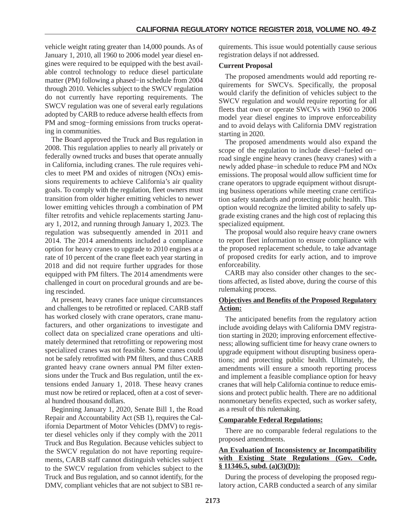vehicle weight rating greater than 14,000 pounds. As of January 1, 2010, all 1960 to 2006 model year diesel engines were required to be equipped with the best available control technology to reduce diesel particulate matter (PM) following a phased−in schedule from 2004 through 2010. Vehicles subject to the SWCV regulation do not currently have reporting requirements. The SWCV regulation was one of several early regulations adopted by CARB to reduce adverse health effects from PM and smog−forming emissions from trucks operating in communities.

The Board approved the Truck and Bus regulation in 2008. This regulation applies to nearly all privately or federally owned trucks and buses that operate annually in California, including cranes. The rule requires vehicles to meet PM and oxides of nitrogen (NOx) emissions requirements to achieve California's air quality goals. To comply with the regulation, fleet owners must transition from older higher emitting vehicles to newer lower emitting vehicles through a combination of PM filter retrofits and vehicle replacements starting January 1, 2012, and running through January 1, 2023. The regulation was subsequently amended in 2011 and 2014. The 2014 amendments included a compliance option for heavy cranes to upgrade to 2010 engines at a rate of 10 percent of the crane fleet each year starting in 2018 and did not require further upgrades for those equipped with PM filters. The 2014 amendments were challenged in court on procedural grounds and are being rescinded.

At present, heavy cranes face unique circumstances and challenges to be retrofitted or replaced. CARB staff has worked closely with crane operators, crane manufacturers, and other organizations to investigate and collect data on specialized crane operations and ultimately determined that retrofitting or repowering most specialized cranes was not feasible. Some cranes could not be safely retrofitted with PM filters, and thus CARB granted heavy crane owners annual PM filter extensions under the Truck and Bus regulation, until the extensions ended January 1, 2018. These heavy cranes must now be retired or replaced, often at a cost of several hundred thousand dollars.

Beginning January 1, 2020, Senate Bill 1, the Road Repair and Accountability Act (SB 1), requires the California Department of Motor Vehicles (DMV) to register diesel vehicles only if they comply with the 2011 Truck and Bus Regulation. Because vehicles subject to the SWCV regulation do not have reporting requirements, CARB staff cannot distinguish vehicles subject to the SWCV regulation from vehicles subject to the Truck and Bus regulation, and so cannot identify, for the DMV, compliant vehicles that are not subject to SB1 requirements. This issue would potentially cause serious registration delays if not addressed.

## **Current Proposal**

The proposed amendments would add reporting requirements for SWCVs. Specifically, the proposal would clarify the definition of vehicles subject to the SWCV regulation and would require reporting for all fleets that own or operate SWCVs with 1960 to 2006 model year diesel engines to improve enforceability and to avoid delays with California DMV registration starting in 2020.

The proposed amendments would also expand the scope of the regulation to include diesel−fueled on− road single engine heavy cranes (heavy cranes) with a newly added phase−in schedule to reduce PM and NOx emissions. The proposal would allow sufficient time for crane operators to upgrade equipment without disrupting business operations while meeting crane certification safety standards and protecting public health. This option would recognize the limited ability to safely upgrade existing cranes and the high cost of replacing this specialized equipment.

The proposal would also require heavy crane owners to report fleet information to ensure compliance with the proposed replacement schedule, to take advantage of proposed credits for early action, and to improve enforceability.

CARB may also consider other changes to the sections affected, as listed above, during the course of this rulemaking process.

## **Objectives and Benefits of the Proposed Regulatory Action:**

The anticipated benefits from the regulatory action include avoiding delays with California DMV registration starting in 2020; improving enforcement effectiveness; allowing sufficient time for heavy crane owners to upgrade equipment without disrupting business operations; and protecting public health. Ultimately, the amendments will ensure a smooth reporting process and implement a feasible compliance option for heavy cranes that will help California continue to reduce emissions and protect public health. There are no additional nonmonetary benefits expected, such as worker safety, as a result of this rulemaking.

## **Comparable Federal Regulations:**

There are no comparable federal regulations to the proposed amendments.

## **An Evaluation of Inconsistency or Incompatibility with Existing State Regulations (Gov. Code, § 11346.5, subd. (a)(3)(D)):**

During the process of developing the proposed regulatory action, CARB conducted a search of any similar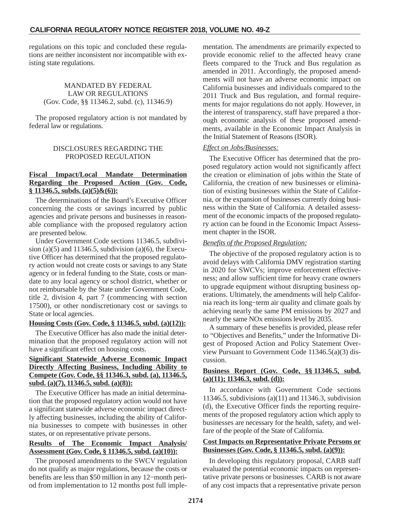regulations on this topic and concluded these regulations are neither inconsistent nor incompatible with existing state regulations.

MANDATED BY FEDERAL LAW OR REGULATIONS (Gov. Code, §§ 11346.2, subd. (c), 11346.9)

The proposed regulatory action is not mandated by federal law or regulations.

## DISCLOSURES REGARDING THE PROPOSED REGULATION

## **Fiscal Impact/Local Mandate Determination Regarding the Proposed Action (Gov. Code, § 11346.5, subds. (a)(5)&(6)):**

The determinations of the Board's Executive Officer concerning the costs or savings incurred by public agencies and private persons and businesses in reasonable compliance with the proposed regulatory action are presented below.

Under Government Code sections 11346.5, subdivision (a)(5) and 11346.5, subdivision (a)(6), the Executive Officer has determined that the proposed regulatory action would not create costs or savings to any State agency or in federal funding to the State, costs or mandate to any local agency or school district, whether or not reimbursable by the State under Government Code, title 2, division 4, part 7 (commencing with section 17500), or other nondiscretionary cost or savings to State or local agencies.

#### **Housing Costs (Gov. Code, § 11346.5, subd. (a)(12)):**

The Executive Officer has also made the initial determination that the proposed regulatory action will not have a significant effect on housing costs.

## **Significant Statewide Adverse Economic Impact Directly Affecting Business, Including Ability to Compete (Gov. Code, §§ 11346.3, subd. (a), 11346.5, subd. (a)(7), 11346.5, subd. (a)(8)):**

The Executive Officer has made an initial determination that the proposed regulatory action would not have a significant statewide adverse economic impact directly affecting businesses, including the ability of California businesses to compete with businesses in other states, or on representative private persons.

## **Results of The Economic Impact Analysis/ Assessment (Gov. Code, § 11346.5, subd. (a)(10)):**

The proposed amendments to the SWCV regulation do not qualify as major regulations, because the costs or benefits are less than \$50 million in any 12−month period from implementation to 12 months post full implementation. The amendments are primarily expected to provide economic relief to the affected heavy crane fleets compared to the Truck and Bus regulation as amended in 2011. Accordingly, the proposed amendments will not have an adverse economic impact on California businesses and individuals compared to the 2011 Truck and Bus regulation, and formal requirements for major regulations do not apply. However, in the interest of transparency, staff have prepared a thorough economic analysis of these proposed amendments, available in the Economic Impact Analysis in the Initial Statement of Reasons (ISOR).

## *Effect on Jobs/Businesses:*

The Executive Officer has determined that the proposed regulatory action would not significantly affect the creation or elimination of jobs within the State of California, the creation of new businesses or elimination of existing businesses within the State of California, or the expansion of businesses currently doing business within the State of California. A detailed assessment of the economic impacts of the proposed regulatory action can be found in the Economic Impact Assessment chapter in the ISOR.

## *Benefits of the Proposed Regulation:*

The objective of the proposed regulatory action is to avoid delays with California DMV registration starting in 2020 for SWCVs; improve enforcement effectiveness; and allow sufficient time for heavy crane owners to upgrade equipment without disrupting business operations. Ultimately, the amendments will help California reach its long−term air quality and climate goals by achieving nearly the same PM emissions by 2027 and nearly the same NOx emissions level by 2035.

A summary of these benefits is provided, please refer to "Objectives and Benefits," under the Informative Digest of Proposed Action and Policy Statement Overview Pursuant to Government Code 11346.5(a)(3) discussion.

#### **Business Report (Gov. Code, §§ 11346.5, subd. (a)(11); 11346.3, subd. (d)):**

In accordance with Government Code sections 11346.5, subdivisions (a)(11) and 11346.3, subdivision (d), the Executive Officer finds the reporting requirements of the proposed regulatory action which apply to businesses are necessary for the health, safety, and welfare of the people of the State of California.

## **Cost Impacts on Representative Private Persons or Businesses (Gov. Code, § 11346.5, subd. (a)(9)):**

In developing this regulatory proposal, CARB staff evaluated the potential economic impacts on representative private persons or businesses. CARB is not aware of any cost impacts that a representative private person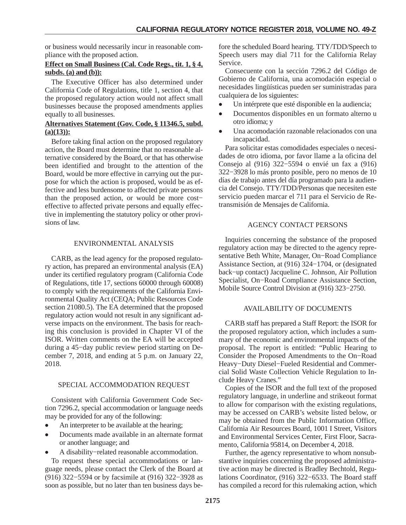or business would necessarily incur in reasonable compliance with the proposed action.

## **Effect on Small Business (Cal. Code Regs., tit. 1, § 4, subds. (a) and (b)):**

The Executive Officer has also determined under California Code of Regulations, title 1, section 4, that the proposed regulatory action would not affect small businesses because the proposed amendments applies equally to all businesses.

## **Alternatives Statement (Gov. Code, § 11346.5, subd. (a)(13)):**

Before taking final action on the proposed regulatory action, the Board must determine that no reasonable alternative considered by the Board, or that has otherwise been identified and brought to the attention of the Board, would be more effective in carrying out the purpose for which the action is proposed, would be as effective and less burdensome to affected private persons than the proposed action, or would be more cost− effective to affected private persons and equally effective in implementing the statutory policy or other provisions of law.

## ENVIRONMENTAL ANALYSIS

CARB, as the lead agency for the proposed regulatory action, has prepared an environmental analysis (EA) under its certified regulatory program (California Code of Regulations, title 17, sections 60000 through 60008) to comply with the requirements of the California Environmental Quality Act (CEQA; Public Resources Code section 21080.5). The EA determined that the proposed regulatory action would not result in any significant adverse impacts on the environment. The basis for reaching this conclusion is provided in Chapter VI of the ISOR. Written comments on the EA will be accepted during a 45−day public review period starting on December 7, 2018, and ending at 5 p.m. on January 22, 2018.

## SPECIAL ACCOMMODATION REQUEST

Consistent with California Government Code Section 7296.2, special accommodation or language needs may be provided for any of the following:

- -An interpreter to be available at the hearing;
- - Documents made available in an alternate format or another language; and
- -A disability−related reasonable accommodation.

To request these special accommodations or language needs, please contact the Clerk of the Board at (916) 322−5594 or by facsimile at (916) 322−3928 as soon as possible, but no later than ten business days before the scheduled Board hearing. TTY/TDD/Speech to Speech users may dial 711 for the California Relay Service.

Consecuente con la sección 7296.2 del Código de Gobierno de California, una acomodación especial o necesidades lingüísticas pueden ser suministradas para cualquiera de los siguientes:

- -Un intérprete que esté disponible en la audiencia;
- - Documentos disponibles en un formato alterno u otro idioma; y
- - Una acomodación razonable relacionados con una incapacidad.

Para solicitar estas comodidades especiales o necesidades de otro idioma, por favor llame a la oficina del Consejo al (916) 322−5594 o envié un fax a (916) 322−3928 lo más pronto posible, pero no menos de 10 días de trabajo antes del día programado para la audiencia del Consejo. TTY/TDD/Personas que necesiten este servicio pueden marcar el 711 para el Servicio de Retransmisión de Mensajes de California.

## AGENCY CONTACT PERSONS

Inquiries concerning the substance of the proposed regulatory action may be directed to the agency representative Beth White, Manager, On−Road Compliance Assistance Section, at (916) 324−1704, or (designated back−up contact) Jacqueline C. Johnson, Air Pollution Specialist, On−Road Compliance Assistance Section, Mobile Source Control Division at (916) 323−2750.

## AVAILABILITY OF DOCUMENTS

CARB staff has prepared a Staff Report: the ISOR for the proposed regulatory action, which includes a summary of the economic and environmental impacts of the proposal. The report is entitled: "Public Hearing to Consider the Proposed Amendments to the On−Road Heavy−Duty Diesel−Fueled Residential and Commercial Solid Waste Collection Vehicle Regulation to Include Heavy Cranes."

Copies of the ISOR and the full text of the proposed regulatory language, in underline and strikeout format to allow for comparison with the existing regulations, may be accessed on CARB's website listed below, or may be obtained from the Public Information Office, California Air Resources Board, 1001 I Street, Visitors and Environmental Services Center, First Floor, Sacramento, California 95814, on December 4, 2018.

Further, the agency representative to whom nonsubstantive inquiries concerning the proposed administrative action may be directed is Bradley Bechtold, Regulations Coordinator, (916) 322−6533. The Board staff has compiled a record for this rulemaking action, which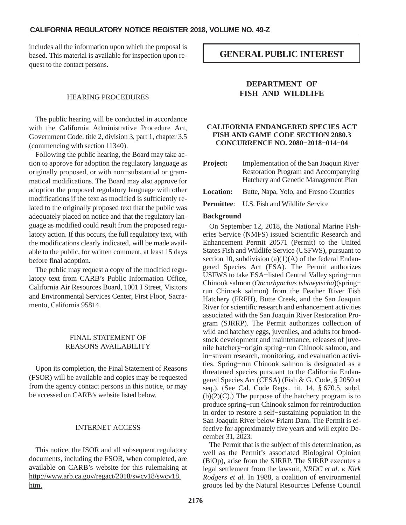<span id="page-25-0"></span>includes all the information upon which the proposal is based. This material is available for inspection upon request to the contact persons.

# **GENERAL PUBLIC INTEREST**

## HEARING PROCEDURES

The public hearing will be conducted in accordance with the California Administrative Procedure Act, Government Code, title 2, division 3, part 1, chapter 3.5 (commencing with section 11340).

Following the public hearing, the Board may take action to approve for adoption the regulatory language as originally proposed, or with non−substantial or grammatical modifications. The Board may also approve for adoption the proposed regulatory language with other modifications if the text as modified is sufficiently related to the originally proposed text that the public was adequately placed on notice and that the regulatory language as modified could result from the proposed regulatory action. If this occurs, the full regulatory text, with the modifications clearly indicated, will be made available to the public, for written comment, at least 15 days before final adoption.

The public may request a copy of the modified regulatory text from CARB's Public Information Office, California Air Resources Board, 1001 I Street, Visitors and Environmental Services Center, First Floor, Sacramento, California 95814.

## FINAL STATEMENT OF REASONS AVAILABILITY

Upon its completion, the Final Statement of Reasons (FSOR) will be available and copies may be requested from the agency contact persons in this notice, or may be accessed on CARB's website listed below.

## INTERNET ACCESS

This notice, the ISOR and all subsequent regulatory documents, including the FSOR, when completed, are available on CARB's website for this rulemaking at http://www.arb.ca.gov/regact/2018/swcv18/swcv18. htm.

## **DEPARTMENT OF FISH AND WILDLIFE**

#### **CALIFORNIA ENDANGERED SPECIES ACT FISH AND GAME CODE SECTION 2080.3 CONCURRENCE NO. 2080−2018−014−04**

**Project:** Implementation of the San Joaquin River Restoration Program and Accompanying Hatchery and Genetic Management Plan

**Location:** Butte, Napa, Yolo, and Fresno Counties

**Permittee**: U.S. Fish and Wildlife Service

#### **Background**

On September 12, 2018, the National Marine Fisheries Service (NMFS) issued Scientific Research and Enhancement Permit 20571 (Permit) to the United States Fish and Wildlife Service (USFWS), pursuant to section 10, subdivision  $(a)(1)(A)$  of the federal Endangered Species Act (ESA). The Permit authorizes USFWS to take ESA−listed Central Valley spring−run Chinook salmon (*Oncorhynchus tshawytscha*)(spring− run Chinook salmon) from the Feather River Fish Hatchery (FRFH), Butte Creek, and the San Joaquin River for scientific research and enhancement activities associated with the San Joaquin River Restoration Program (SJRRP). The Permit authorizes collection of wild and hatchery eggs, juveniles, and adults for broodstock development and maintenance, releases of juvenile hatchery−origin spring−run Chinook salmon, and in−stream research, monitoring, and evaluation activities. Spring−run Chinook salmon is designated as a threatened species pursuant to the California Endangered Species Act (CESA) (Fish & G. Code, § 2050 et seq.). (See Cal. Code Regs., tit. 14, § 670.5, subd.  $(b)(2)(C)$ .) The purpose of the hatchery program is to produce spring−run Chinook salmon for reintroduction in order to restore a self−sustaining population in the San Joaquin River below Friant Dam. The Permit is effective for approximately five years and will expire December 31, 2023.

The Permit that is the subject of this determination, as well as the Permit's associated Biological Opinion (BiOp), arise from the SJRRP. The SJRRP executes a legal settlement from the lawsuit, *NRDC et al. v. Kirk Rodgers et al.* In 1988, a coalition of environmental groups led by the Natural Resources Defense Council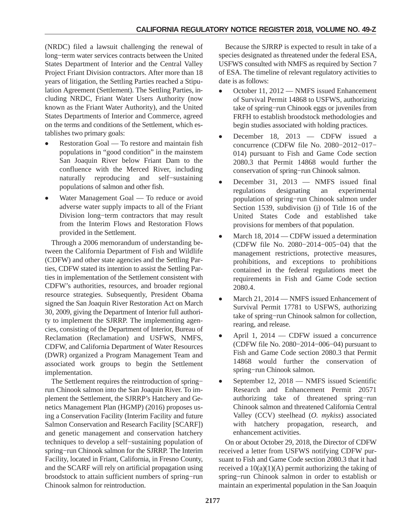(NRDC) filed a lawsuit challenging the renewal of long−term water services contracts between the United States Department of Interior and the Central Valley Project Friant Division contractors. After more than 18 years of litigation, the Settling Parties reached a Stipulation Agreement (Settlement). The Settling Parties, including NRDC, Friant Water Users Authority (now known as the Friant Water Authority), and the United States Departments of Interior and Commerce, agreed on the terms and conditions of the Settlement, which establishes two primary goals:

- - Restoration Goal — To restore and maintain fish populations in "good condition" in the mainstem San Joaquin River below Friant Dam to the confluence with the Merced River, including naturally reproducing and self−sustaining populations of salmon and other fish.
- $\bullet$  Water Management Goal — To reduce or avoid adverse water supply impacts to all of the Friant Division long−term contractors that may result from the Interim Flows and Restoration Flows provided in the Settlement.

Through a 2006 memorandum of understanding between the California Department of Fish and Wildlife (CDFW) and other state agencies and the Settling Parties, CDFW stated its intention to assist the Settling Parties in implementation of the Settlement consistent with CDFW's authorities, resources, and broader regional resource strategies. Subsequently, President Obama signed the San Joaquin River Restoration Act on March 30, 2009, giving the Department of Interior full authority to implement the SJRRP. The implementing agencies, consisting of the Department of Interior, Bureau of Reclamation (Reclamation) and USFWS, NMFS, CDFW, and California Department of Water Resources (DWR) organized a Program Management Team and associated work groups to begin the Settlement implementation.

The Settlement requires the reintroduction of spring− run Chinook salmon into the San Joaquin River. To implement the Settlement, the SJRRP's Hatchery and Genetics Management Plan (HGMP) (2016) proposes using a Conservation Facility (Interim Facility and future Salmon Conservation and Research Facility [SCARF]) and genetic management and conservation hatchery techniques to develop a self−sustaining population of spring−run Chinook salmon for the SJRRP. The Interim Facility, located in Friant, California, in Fresno County, and the SCARF will rely on artificial propagation using broodstock to attain sufficient numbers of spring−run Chinook salmon for reintroduction.

Because the SJRRP is expected to result in take of a species designated as threatened under the federal ESA, USFWS consulted with NMFS as required by Section 7 of ESA. The timeline of relevant regulatory activities to date is as follows:

- - October 11, 2012 — NMFS issued Enhancement of Survival Permit 14868 to USFWS, authorizing take of spring−run Chinook eggs or juveniles from FRFH to establish broodstock methodologies and begin studies associated with holding practices.
- $\bullet$  December 18, 2013 — CDFW issued a concurrence (CDFW file No. 2080−2012−017− 014) pursuant to Fish and Game Code section 2080.3 that Permit 14868 would further the conservation of spring−run Chinook salmon.
- $\bullet$  December 31, 2013 — NMFS issued final regulations designating an experimental population of spring−run Chinook salmon under Section 1539, subdivision (j) of Title 16 of the United States Code and established take provisions for members of that population.
- - March 18, 2014 — CDFW issued a determination (CDFW file No. 2080−2014−005−04) that the management restrictions, protective measures, prohibitions, and exceptions to prohibitions contained in the federal regulations meet the requirements in Fish and Game Code section 2080.4.
- - March 21, 2014 — NMFS issued Enhancement of Survival Permit 17781 to USFWS, authorizing take of spring−run Chinook salmon for collection, rearing, and release.
- $\bullet$  April 1, 2014 — CDFW issued a concurrence (CDFW file No. 2080−2014−006−04) pursuant to Fish and Game Code section 2080.3 that Permit 14868 would further the conservation of spring−run Chinook salmon.
- $\bullet$  September 12, 2018 — NMFS issued Scientific Research and Enhancement Permit 20571 authorizing take of threatened spring−run Chinook salmon and threatened California Central Valley (CCV) steelhead (*O. mykiss*) associated with hatchery propagation, research, and enhancement activities.

On or about October 29, 2018, the Director of CDFW received a letter from USFWS notifying CDFW pursuant to Fish and Game Code section 2080.3 that it had received a  $10(a)(1)(A)$  permit authorizing the taking of spring−run Chinook salmon in order to establish or maintain an experimental population in the San Joaquin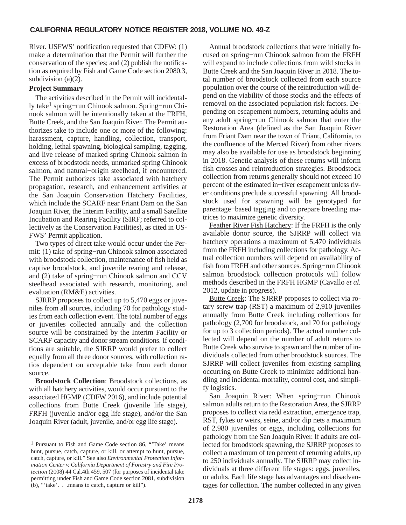River. USFWS' notification requested that CDFW: (1) make a determination that the Permit will further the conservation of the species; and (2) publish the notification as required by Fish and Game Code section 2080.3, subdivision (a)(2).

## **Project Summary**

The activities described in the Permit will incidentally take1 spring−run Chinook salmon. Spring−run Chinook salmon will be intentionally taken at the FRFH, Butte Creek, and the San Joaquin River. The Permit authorizes take to include one or more of the following: harassment, capture, handling, collection, transport, holding, lethal spawning, biological sampling, tagging, and live release of marked spring Chinook salmon in excess of broodstock needs, unmarked spring Chinook salmon, and natural−origin steelhead, if encountered. The Permit authorizes take associated with hatchery propagation, research, and enhancement activities at the San Joaquin Conservation Hatchery Facilities, which include the SCARF near Friant Dam on the San Joaquin River, the Interim Facility, and a small Satellite Incubation and Rearing Facility (SIRF; referred to collectively as the Conservation Facilities), as cited in US-FWS' Permit application.

Two types of direct take would occur under the Permit: (1) take of spring−run Chinook salmon associated with broodstock collection, maintenance of fish held as captive broodstock, and juvenile rearing and release, and (2) take of spring−run Chinook salmon and CCV steelhead associated with research, monitoring, and evaluation (RM&E) activities.

SJRRP proposes to collect up to 5,470 eggs or juveniles from all sources, including 70 for pathology studies from each collection event. The total number of eggs or juveniles collected annually and the collection source will be constrained by the Interim Facility or SCARF capacity and donor stream conditions. If conditions are suitable, the SJRRP would prefer to collect equally from all three donor sources, with collection ratios dependent on acceptable take from each donor source.

**Broodstock Collection**: Broodstock collections, as with all hatchery activities, would occur pursuant to the associated HGMP (CDFW 2016), and include potential collections from Butte Creek (juvenile life stage), FRFH (juvenile and/or egg life stage), and/or the San Joaquin River (adult, juvenile, and/or egg life stage).

Annual broodstock collections that were initially focused on spring−run Chinook salmon from the FRFH will expand to include collections from wild stocks in Butte Creek and the San Joaquin River in 2018. The total number of broodstock collected from each source population over the course of the reintroduction will depend on the viability of those stocks and the effects of removal on the associated population risk factors. Depending on escapement numbers, returning adults and any adult spring−run Chinook salmon that enter the Restoration Area (defined as the San Joaquin River from Friant Dam near the town of Friant, California, to the confluence of the Merced River) from other rivers may also be available for use as broodstock beginning in 2018. Genetic analysis of these returns will inform fish crosses and reintroduction strategies. Broodstock collection from returns generally should not exceed 10 percent of the estimated in−river escapement unless river conditions preclude successful spawning. All broodstock used for spawning will be genotyped for parentage−based tagging and to prepare breeding matrices to maximize genetic diversity.

Feather River Fish Hatchery: If the FRFH is the only available donor source, the SJRRP will collect via hatchery operations a maximum of 5,470 individuals from the FRFH including collections for pathology. Actual collection numbers will depend on availability of fish from FRFH and other sources. Spring−run Chinook salmon broodstock collection protocols will follow methods described in the FRFH HGMP (Cavallo *et al.* 2012, update in progress).

Butte Creek: The SJRRP proposes to collect via rotary screw trap (RST) a maximum of 2,910 juveniles annually from Butte Creek including collections for pathology (2,700 for broodstock, and 70 for pathology for up to 3 collection periods). The actual number collected will depend on the number of adult returns to Butte Creek who survive to spawn and the number of individuals collected from other broodstock sources. The SJRRP will collect juveniles from existing sampling occurring on Butte Creek to minimize additional handling and incidental mortality, control cost, and simplify logistics.

San Joaquin River: When spring−run Chinook salmon adults return to the Restoration Area, the SJRRP proposes to collect via redd extraction, emergence trap, RST, fykes or weirs, seine, and/or dip nets a maximum of 2,980 juveniles or eggs, including collections for pathology from the San Joaquin River. If adults are collected for broodstock spawning, the SJRRP proposes to collect a maximum of ten percent of returning adults, up to 250 individuals annually. The SJRRP may collect individuals at three different life stages: eggs, juveniles, or adults. Each life stage has advantages and disadvantages for collection. The number collected in any given

<sup>1</sup> Pursuant to Fish and Game Code section 86, "'Take' means hunt, pursue, catch, capture, or kill, or attempt to hunt, pursue, catch, capture, or kill." See also *Environmental Protection Information Center v. California Department of Forestry and Fire Protection* (2008) 44 Cal.4th 459, 507 (for purposes of incidental take permitting under Fish and Game Code section 2081, subdivision (b), "'take'. . .means to catch, capture or kill").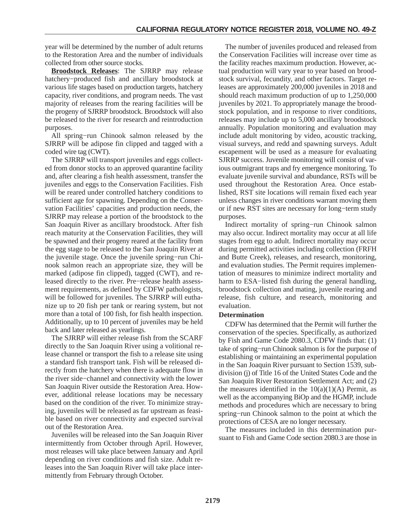year will be determined by the number of adult returns to the Restoration Area and the number of individuals collected from other source stocks.

**Broodstock Releases**: The SJRRP may release hatchery−produced fish and ancillary broodstock at various life stages based on production targets, hatchery capacity, river conditions, and program needs. The vast majority of releases from the rearing facilities will be the progeny of SJRRP broodstock. Broodstock will also be released to the river for research and reintroduction purposes.

All spring−run Chinook salmon released by the SJRRP will be adipose fin clipped and tagged with a coded wire tag (CWT).

The SJRRP will transport juveniles and eggs collected from donor stocks to an approved quarantine facility and, after clearing a fish health assessment, transfer the juveniles and eggs to the Conservation Facilities. Fish will be reared under controlled hatchery conditions to sufficient age for spawning. Depending on the Conservation Facilities' capacities and production needs, the SJRRP may release a portion of the broodstock to the San Joaquin River as ancillary broodstock. After fish reach maturity at the Conservation Facilities, they will be spawned and their progeny reared at the facility from the egg stage to be released to the San Joaquin River at the juvenile stage. Once the juvenile spring−run Chinook salmon reach an appropriate size, they will be marked (adipose fin clipped), tagged (CWT), and released directly to the river. Pre−release health assessment requirements, as defined by CDFW pathologists, will be followed for juveniles. The SJRRP will euthanize up to 20 fish per tank or rearing system, but not more than a total of 100 fish, for fish health inspection. Additionally, up to 10 percent of juveniles may be held back and later released as yearlings.

The SJRRP will either release fish from the SCARF directly to the San Joaquin River using a volitional release channel or transport the fish to a release site using a standard fish transport tank. Fish will be released directly from the hatchery when there is adequate flow in the river side−channel and connectivity with the lower San Joaquin River outside the Restoration Area. However, additional release locations may be necessary based on the condition of the river. To minimize straying, juveniles will be released as far upstream as feasible based on river connectivity and expected survival out of the Restoration Area.

Juveniles will be released into the San Joaquin River intermittently from October through April. However, most releases will take place between January and April depending on river conditions and fish size. Adult releases into the San Joaquin River will take place intermittently from February through October.

The number of juveniles produced and released from the Conservation Facilities will increase over time as the facility reaches maximum production. However, actual production will vary year to year based on broodstock survival, fecundity, and other factors. Target releases are approximately 200,000 juveniles in 2018 and should reach maximum production of up to 1,250,000 juveniles by 2021. To appropriately manage the broodstock population, and in response to river conditions, releases may include up to 5,000 ancillary broodstock annually. Population monitoring and evaluation may include adult monitoring by video, acoustic tracking, visual surveys, and redd and spawning surveys. Adult escapement will be used as a measure for evaluating SJRRP success. Juvenile monitoring will consist of various outmigrant traps and fry emergence monitoring. To evaluate juvenile survival and abundance, RSTs will be used throughout the Restoration Area. Once established, RST site locations will remain fixed each year unless changes in river conditions warrant moving them or if new RST sites are necessary for long−term study purposes.

Indirect mortality of spring−run Chinook salmon may also occur. Indirect mortality may occur at all life stages from egg to adult. Indirect mortality may occur during permitted activities including collection (FRFH and Butte Creek), releases, and research, monitoring, and evaluation studies. The Permit requires implementation of measures to minimize indirect mortality and harm to ESA−listed fish during the general handling, broodstock collection and mating, juvenile rearing and release, fish culture, and research, monitoring and evaluation.

## **Determination**

CDFW has determined that the Permit will further the conservation of the species. Specifically, as authorized by Fish and Game Code 2080.3, CDFW finds that: (1) take of spring−run Chinook salmon is for the purpose of establishing or maintaining an experimental population in the San Joaquin River pursuant to Section 1539, subdivision (j) of Title 16 of the United States Code and the San Joaquin River Restoration Settlement Act; and (2) the measures identified in the  $10(a)(1)(A)$  Permit, as well as the accompanying BiOp and the HGMP, include methods and procedures which are necessary to bring spring−run Chinook salmon to the point at which the protections of CESA are no longer necessary.

The measures included in this determination pursuant to Fish and Game Code section 2080.3 are those in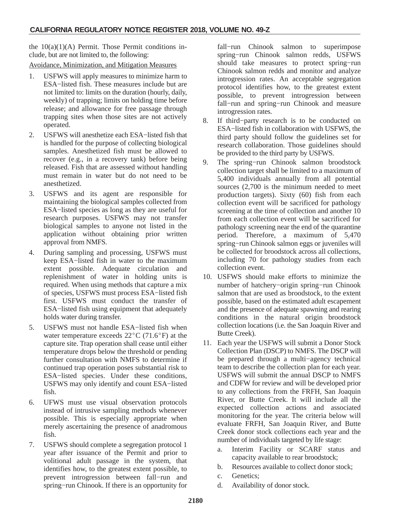the  $10(a)(1)(A)$  Permit. Those Permit conditions include, but are not limited to, the following:

## Avoidance, Minimization, and Mitigation Measures

- 1. USFWS will apply measures to minimize harm to ESA−listed fish. These measures include but are not limited to: limits on the duration (hourly, daily, weekly) of trapping; limits on holding time before release; and allowance for free passage through trapping sites when those sites are not actively operated.
- 2. USFWS will anesthetize each ESA−listed fish that is handled for the purpose of collecting biological samples. Anesthetized fish must be allowed to recover (e.g., in a recovery tank) before being released. Fish that are assessed without handling must remain in water but do not need to be anesthetized.
- 3. USFWS and its agent are responsible for maintaining the biological samples collected from ESA−listed species as long as they are useful for research purposes. USFWS may not transfer biological samples to anyone not listed in the application without obtaining prior written approval from NMFS.
- 4. During sampling and processing, USFWS must keep ESA−listed fish in water to the maximum extent possible. Adequate circulation and replenishment of water in holding units is required. When using methods that capture a mix of species, USFWS must process ESA−listed fish first. USFWS must conduct the transfer of ESA−listed fish using equipment that adequately holds water during transfer.
- 5. USFWS must not handle ESA−listed fish when water temperature exceeds  $22^{\circ}$ C (71.6°F) at the capture site. Trap operation shall cease until either temperature drops below the threshold or pending further consultation with NMFS to determine if continued trap operation poses substantial risk to ESA−listed species. Under these conditions, USFWS may only identify and count ESA−listed fish.
- 6. UFWS must use visual observation protocols instead of intrusive sampling methods whenever possible. This is especially appropriate when merely ascertaining the presence of anadromous fish.
- 7. USFWS should complete a segregation protocol 1 year after issuance of the Permit and prior to volitional adult passage in the system, that identifies how, to the greatest extent possible, to prevent introgression between fall−run and spring−run Chinook. If there is an opportunity for

fall−run Chinook salmon to superimpose spring−run Chinook salmon redds, USFWS should take measures to protect spring−run Chinook salmon redds and monitor and analyze introgression rates. An acceptable segregation protocol identifies how, to the greatest extent possible, to prevent introgression between fall−run and spring−run Chinook and measure introgression rates.

- 8. If third−party research is to be conducted on ESA−listed fish in collaboration with USFWS, the third party should follow the guidelines set for research collaboration. Those guidelines should be provided to the third party by USFWS.
- 9. The spring−run Chinook salmon broodstock collection target shall be limited to a maximum of 5,400 individuals annually from all potential sources (2,700 is the minimum needed to meet production targets). Sixty (60) fish from each collection event will be sacrificed for pathology screening at the time of collection and another 10 from each collection event will be sacrificed for pathology screening near the end of the quarantine period. Therefore, a maximum of 5,470 spring−run Chinook salmon eggs or juveniles will be collected for broodstock across all collections, including 70 for pathology studies from each collection event.
- 10. USFWS should make efforts to minimize the number of hatchery−origin spring−run Chinook salmon that are used as broodstock, to the extent possible, based on the estimated adult escapement and the presence of adequate spawning and rearing conditions in the natural origin broodstock collection locations (i.e. the San Joaquin River and Butte Creek).
- 11. Each year the USFWS will submit a Donor Stock Collection Plan (DSCP) to NMFS. The DSCP will be prepared through a multi−agency technical team to describe the collection plan for each year. USFWS will submit the annual DSCP to NMFS and CDFW for review and will be developed prior to any collections from the FRFH, San Joaquin River, or Butte Creek. It will include all the expected collection actions and associated monitoring for the year. The criteria below will evaluate FRFH, San Joaquin River, and Butte Creek donor stock collections each year and the number of individuals targeted by life stage:
	- a. Interim Facility or SCARF status and capacity available to rear broodstock;
	- b. Resources available to collect donor stock;
	- c. Genetics;
	- d. Availability of donor stock.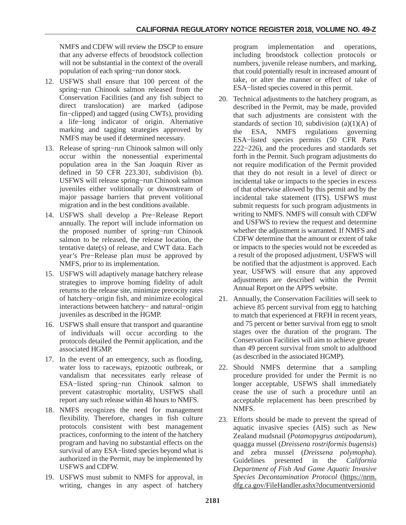NMFS and CDFW will review the DSCP to ensure that any adverse effects of broodstock collection will not be substantial in the context of the overall population of each spring−run donor stock.

- 12. USFWS shall ensure that 100 percent of the spring−run Chinook salmon released from the Conservation Facilities (and any fish subject to direct translocation) are marked (adipose fin−clipped) and tagged (using CWTs), providing a life−long indicator of origin. Alternative marking and tagging strategies approved by NMFS may be used if determined necessary.
- 13. Release of spring−run Chinook salmon will only occur within the nonessential experimental population area in the San Joaquin River as defined in 50 CFR 223.301, subdivision (b). USFWS will release spring−run Chinook salmon juveniles either volitionally or downstream of major passage barriers that prevent volitional migration and in the best conditions available.
- 14. USFWS shall develop a Pre−Release Report annually. The report will include information on the proposed number of spring−run Chinook salmon to be released, the release location, the tentative date(s) of release, and CWT data. Each year's Pre−Release plan must be approved by NMFS, prior to its implementation.
- 15. USFWS will adaptively manage hatchery release strategies to improve homing fidelity of adult returns to the release site, minimize precocity rates of hatchery−origin fish, and minimize ecological interactions between hatchery− and natural−origin juveniles as described in the HGMP.
- 16. USFWS shall ensure that transport and quarantine of individuals will occur according to the protocols detailed the Permit application, and the associated HGMP.
- 17. In the event of an emergency, such as flooding, water loss to raceways, epizootic outbreak, or vandalism that necessitates early release of ESA−listed spring−run Chinook salmon to prevent catastrophic mortality, USFWS shall report any such release within 48 hours to NMFS.
- 18. NMFS recognizes the need for management flexibility. Therefore, changes in fish culture protocols consistent with best management practices, conforming to the intent of the hatchery program and having no substantial effects on the survival of any ESA−listed species beyond what is authorized in the Permit, may be implemented by USFWS and CDFW.
- 19. USFWS must submit to NMFS for approval, in writing, changes in any aspect of hatchery

program implementation and operations, including broodstock collection protocols or numbers, juvenile release numbers, and marking. that could potentially result in increased amount of take, or alter the manner or effect of take of ESA−listed species covered in this permit.

- 20. Technical adjustments to the hatchery program, as described in the Permit, may be made, provided that such adjustments are consistent with the standards of section 10, subdivision  $(a)(1)(A)$  of the ESA, NMFS regulations governing ESA−listed species permits (50 CFR Parts 222−226), and the procedures and standards set forth in the Permit. Such program adjustments do not require modification of the Permit provided that they do not result in a level of direct or incidental take or impacts to the species in excess of that otherwise allowed by this permit and by the incidental take statement (ITS). USFWS must submit requests for such program adjustments in writing to NMFS. NMFS will consult with CDFW and USFWS to review the request and determine whether the adjustment is warranted. If NMFS and CDFW determine that the amount or extent of take or impacts to the species would not be exceeded as a result of the proposed adjustment, USFWS will be notified that the adjustment is approved. Each year, USFWS will ensure that any approved adjustments are described within the Permit Annual Report on the APPS website.
- 21. Annually, the Conservation Facilities will seek to achieve 85 percent survival from egg to hatching to match that experienced at FRFH in recent years, and 75 percent or better survival from egg to smolt stages over the duration of the program. The Conservation Facilities will aim to achieve greater than 49 percent survival from smolt to adulthood (as described in the associated HGMP).
- 22. Should NMFS determine that a sampling procedure provided for under the Permit is no longer acceptable, USFWS shall immediately cease the use of such a procedure until an acceptable replacement has been prescribed by NMFS.
- 23. Efforts should be made to prevent the spread of aquatic invasive species (AIS) such as New Zealand mudsnail (*Potamopygrus antipodarum*), quagga mussel (*Dreissena rostriformis bugensis*) and zebra mussel (*Dreissena polymopha*). Guidelines presented in the *California Department of Fish And Game Aquatic Invasive Species Decontamination Protocol* (https://nrm. dfg.ca.gov/FileHandler.ashx?documentversionid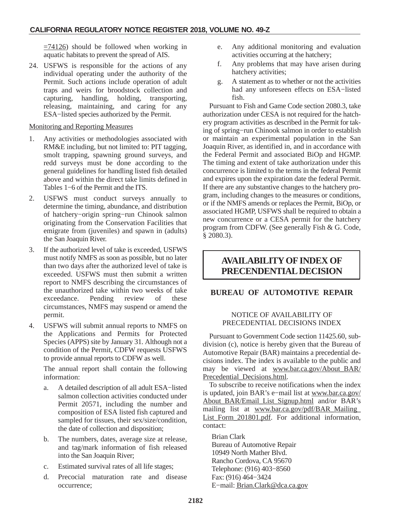<span id="page-31-0"></span> $\equiv$ 74126) should be followed when working in aquatic habitats to prevent the spread of AIS.

24. USFWS is responsible for the actions of any individual operating under the authority of the Permit. Such actions include operation of adult traps and weirs for broodstock collection and capturing, handling, holding, transporting, releasing, maintaining, and caring for any ESA−listed species authorized by the Permit.

## Monitoring and Reporting Measures

- 1. Any activities or methodologies associated with RM&E including, but not limited to: PIT tagging, smolt trapping, spawning ground surveys, and redd surveys must be done according to the general guidelines for handling listed fish detailed above and within the direct take limits defined in Tables 1−6 of the Permit and the ITS.
- 2. USFWS must conduct surveys annually to determine the timing, abundance, and distribution of hatchery−origin spring−run Chinook salmon originating from the Conservation Facilities that emigrate from (juveniles) and spawn in (adults) the San Joaquin River.
- 3. If the authorized level of take is exceeded, USFWS must notify NMFS as soon as possible, but no later than two days after the authorized level of take is exceeded. USFWS must then submit a written report to NMFS describing the circumstances of the unauthorized take within two weeks of take<br>exceedance. Pending review of these exceedance. Pending review of these circumstances, NMFS may suspend or amend the permit.
- 4. USFWS will submit annual reports to NMFS on the Applications and Permits for Protected Species (APPS) site by January 31. Although not a condition of the Permit, CDFW requests USFWS to provide annual reports to CDFW as well.

The annual report shall contain the following information:

- a. A detailed description of all adult ESA−listed salmon collection activities conducted under Permit 20571, including the number and composition of ESA listed fish captured and sampled for tissues, their sex/size/condition, the date of collection and disposition;
- b. The numbers, dates, average size at release, and tag/mark information of fish released into the San Joaquin River;
- c. Estimated survival rates of all life stages;
- d. Precocial maturation rate and disease occurrence;
- e. Any additional monitoring and evaluation activities occurring at the hatchery;
- f. Any problems that may have arisen during hatchery activities;
- g. A statement as to whether or not the activities had any unforeseen effects on ESA−listed fish.

Pursuant to Fish and Game Code section 2080.3, take authorization under CESA is not required for the hatchery program activities as described in the Permit for taking of spring−run Chinook salmon in order to establish or maintain an experimental population in the San Joaquin River, as identified in, and in accordance with the Federal Permit and associated BiOp and HGMP. The timing and extent of take authorization under this concurrence is limited to the terms in the federal Permit and expires upon the expiration date the federal Permit. If there are any substantive changes to the hatchery program, including changes to the measures or conditions, or if the NMFS amends or replaces the Permit, BiOp, or associated HGMP, USFWS shall be required to obtain a new concurrence or a CESA permit for the hatchery program from CDFW. (See generally Fish & G. Code, § 2080.3).

# **AVAILABILITY OF INDEX OF PRECENDENTIAL DECISION**

## **BUREAU OF AUTOMOTIVE REPAIR**

## NOTICE OF AVAILABILITY OF PRECEDENTIAL DECISIONS INDEX

Pursuant to Government Code section 11425.60, subdivision (c), notice is hereby given that the Bureau of Automotive Repair (BAR) maintains a precedential decisions index. The index is available to the public and may be viewed at www.bar.ca.gov/About BAR/ Precedential\_Decisions.html.

To subscribe to receive notifications when the index is updated, join BAR's e−mail list at www.bar.ca.gov/ About BAR/Email List Signup.html and/or BAR's mailing list at www.bar.ca.gov/pdf/BAR Mailing List Form 201801.pdf. For additional information, contact:

Brian Clark Bureau of Automotive Repair 10949 North Mather Blvd. Rancho Cordova, CA 95670 Telephone: (916) 403−8560 Fax: (916) 464−3424 E−mail: Brian.Clark@dca.ca.gov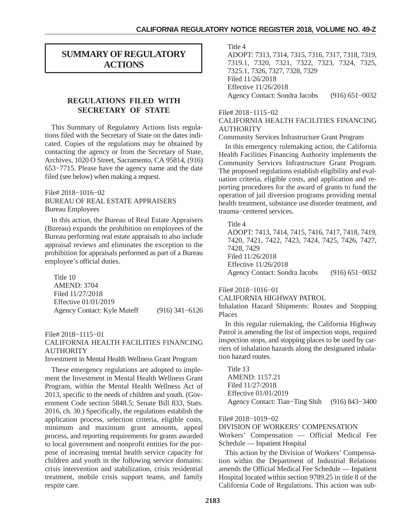# <span id="page-32-0"></span>**SUMMARY OF REGULATORY ACTIONS**

## **REGULATIONS FILED WITH SECRETARY OF STATE**

This Summary of Regulatory Actions lists regulations filed with the Secretary of State on the dates indicated. Copies of the regulations may be obtained by contacting the agency or from the Secretary of State, Archives, 1020 O Street, Sacramento, CA 95814, (916) 653−7715. Please have the agency name and the date filed (see below) when making a request.

#### File# 2018−1016−02 BUREAU OF REAL ESTATE APPRAISERS Bureau Employees

In this action, the Bureau of Real Estate Appraisers (Bureau) expands the prohibition on employees of the Bureau performing real estate appraisals to also include appraisal reviews and eliminates the exception to the prohibition for appraisals performed as part of a Bureau employee's official duties.

| Title 10                    |                  |
|-----------------------------|------------------|
| <b>AMEND: 3704</b>          |                  |
| Filed 11/27/2018            |                  |
| Effective 01/01/2019        |                  |
| Agency Contact: Kyle Muteff | $(916)$ 341-6126 |

## File# 2018−1115−01

## CALIFORNIA HEALTH FACILITIES FINANCING AUTHORITY

Investment in Mental Health Wellness Grant Program

These emergency regulations are adopted to implement the Investment in Mental Health Wellness Grant Program, within the Mental Health Wellness Act of 2013, specific to the needs of children and youth. (Government Code section 5848.5; Senate Bill 833, Stats. 2016, ch. 30.) Specifically, the regulations establish the application process, selection criteria, eligible costs, minimum and maximum grant amounts, appeal process, and reporting requirements for grants awarded to local government and nonprofit entities for the purpose of increasing mental health service capacity for children and youth in the following service domains: crisis intervention and stabilization, crisis residential treatment, mobile crisis support teams, and family respite care.

Title 4

ADOPT: 7313, 7314, 7315, 7316, 7317, 7318, 7319, 7319.1, 7320, 7321, 7322, 7323, 7324, 7325, 7325.1, 7326, 7327, 7328, 7329 Filed 11/26/2018 Effective 11/26/2018 Agency Contact: Sondra Jacobs (916) 651−0032

#### File# 2018−1115−02

## CALIFORNIA HEALTH FACILITIES FINANCING AUTHORITY

Community Services Infrastructure Grant Program

In this emergency rulemaking action, the California Health Facilities Financing Authority implements the Community Services Infrastructure Grant Program. The proposed regulations establish eligibility and evaluation criteria, eligible costs, and application and reporting procedures for the award of grants to fund the operation of jail diversion programs providing mental health treatment, substance use disorder treatment, and trauma−centered services.

#### Title 4

ADOPT: 7413, 7414, 7415, 7416, 7417, 7418, 7419, 7420, 7421, 7422, 7423, 7424, 7425, 7426, 7427, 7428, 7429 Filed 11/26/2018 Effective 11/26/2018 Agency Contact: Sondra Jacobs (916) 651−0032

## File# 2018−1016−01

CALIFORNIA HIGHWAY PATROL

Inhalation Hazard Shipments: Routes and Stopping Places

In this regular rulemaking, the California Highway Patrol is amending the list of inspection stops, required inspection stops, and stopping places to be used by carriers of inhalation hazards along the designated inhalation hazard routes.

Title 13 AMEND: 1157.21 Filed 11/27/2018 Effective 01/01/2019 Agency Contact: Tian−Ting Shih (916) 843−3400

#### File# 2018−1019−02

DIVISION OF WORKERS' COMPENSATION Workers' Compensation — Official Medical Fee Schedule — Inpatient Hospital

This action by the Division of Workers' Compensation within the Department of Industrial Relations amends the Official Medical Fee Schedule — Inpatient Hospital located within section 9789.25 in title 8 of the California Code of Regulations. This action was sub-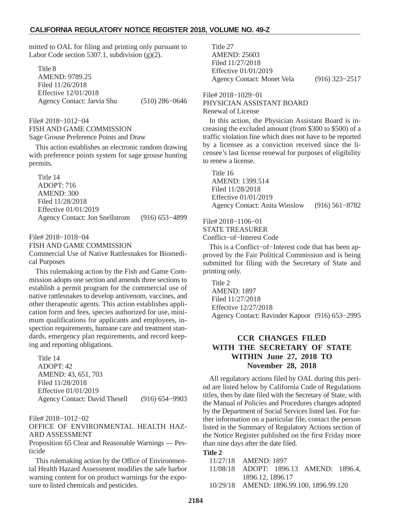## <span id="page-33-0"></span>**CALIFORNIA REGULATORY NOTICE REGISTER 2018, VOLUME NO. 49-Z**

mitted to OAL for filing and printing only pursuant to Labor Code section 5307.1, subdivision (g)(2).

Title 8 AMEND: 9789.25 Filed 11/26/2018 Effective 12/01/2018 Agency Contact: Jarvia Shu (510) 286−0646

File# 2018−1012−04 FISH AND GAME COMMISSION Sage Grouse Preference Points and Draw

This action establishes an electronic random drawing with preference points system for sage grouse hunting permits.

Title 14 ADOPT: 716 AMEND: 300 Filed 11/28/2018 Effective 01/01/2019 Agency Contact: Jon Snellstrom (916) 653−4899

File# 2018−1018−04

FISH AND GAME COMMISSION

Commercial Use of Native Rattlesnakes for Biomedical Purposes

This rulemaking action by the Fish and Game Commission adopts one section and amends three sections to establish a permit program for the commercial use of native rattlesnakes to develop antivenom, vaccines, and other therapeutic agents. This action establishes application form and fees, species authorized for use, minimum qualifications for applicants and employees, inspection requirements, humane care and treatment standards, emergency plan requirements, and record keeping and reporting obligations.

Title 14 ADOPT: 42 AMEND: 43, 651, 703 Filed 11/28/2018 Effective 01/01/2019 Agency Contact: David Thesell (916) 654−9903

File# 2018−1012−02

OFFICE OF ENVIRONMENTAL HEALTH HAZ-ARD ASSESSMENT

Proposition 65 Clear and Reasonable Warnings — Pesticide

This rulemaking action by the Office of Environmental Health Hazard Assessment modifies the safe harbor warning content for on product warnings for the exposure to listed chemicals and pesticides.

Title 27 AMEND: 25603 Filed 11/27/2018 Effective 01/01/2019 Agency Contact: Monet Vela (916) 323−2517

#### File# 2018−1029−01 PHYSICIAN ASSISTANT BOARD Renewal of License

In this action, the Physician Assistant Board is increasing the excluded amount (from \$300 to \$500) of a traffic violation fine which does not have to be reported by a licensee as a conviction received since the licensee's last license renewal for purposes of eligibility to renew a license.

Title 16 AMEND: 1399.514 Filed 11/28/2018 Effective 01/01/2019 Agency Contact: Anita Winslow (916) 561−8782

File# 2018−1106−01 STATE TREASURER Conflict−of−Interest Code

This is a Conflict−of−Interest code that has been approved by the Fair Political Commission and is being submitted for filing with the Secretary of State and printing only.

Title 2 AMEND: 1897 Filed 11/27/2018 Effective 12/27/2018 Agency Contact: Ravinder Kapoor (916) 653−2995

## **CCR CHANGES FILED WITH THE SECRETARY OF STATE WITHIN June 27, 2018 TO November 28, 2018**

All regulatory actions filed by OAL during this period are listed below by California Code of Regulations titles, then by date filed with the Secretary of State, with the Manual of Policies and Procedures changes adopted by the Department of Social Services listed last. For further information on a particular file, contact the person listed in the Summary of Regulatory Actions section of the Notice Register published on the first Friday more than nine days after the date filed.

## **Title 2**

| 11/27/18 AMEND: 1897                     |  |
|------------------------------------------|--|
| 11/08/18 ADOPT: 1896.13 AMEND: 1896.4,   |  |
| 1896.12.1896.17                          |  |
| 10/29/18 AMEND: 1896.99.100, 1896.99.120 |  |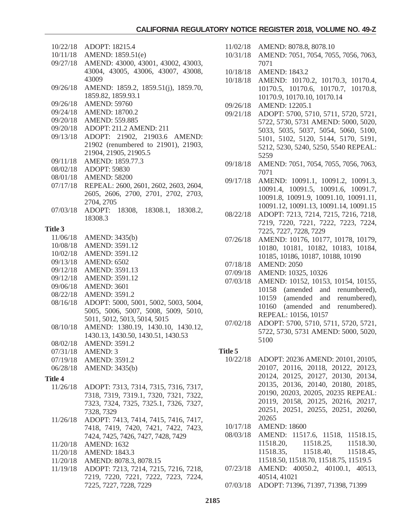## **CALIFORNIA REGULATORY NOTICE REGISTER 2018, VOLUME NO. 49-Z**

- 10/22/18 ADOPT: 18215.4
- 10/11/18 AMEND: 1859.51(e)
- 09/27/18 AMEND: 43000, 43001, 43002, 43003, 43004, 43005, 43006, 43007, 43008, 43009
- 09/26/18 AMEND: 1859.2, 1859.51(j), 1859.70, 1859.82, 1859.93.1
- 09/26/18 AMEND: 59760
- 09/24/18 AMEND: 18700.2
- 09/20/18 AMEND: 559.885
- 09/20/18 ADOPT: 211.2 AMEND: 211
- 09/13/18 ADOPT: 21902, 21903.6 AMEND: 21902 (renumbered to 21901), 21903, 21904, 21905, 21905.5
- 09/11/18 AMEND: 1859.77.3
- 08/02/18 ADOPT: 59830
- 08/01/18 AMEND: 58200
- 07/17/18 REPEAL: 2600, 2601, 2602, 2603, 2604, 2605, 2606, 2700, 2701, 2702, 2703, 2704, 2705
- 07/03/18 ADOPT: 18308, 18308.1, 18308.2, 18308.3

#### **Title 3**

- 11/06/18 AMEND: 3435(b)
- 10/08/18 AMEND: 3591.12
- 10/02/18 AMEND: 3591.12
- 09/13/18 AMEND: 6502
- 09/12/18 AMEND: 3591.13
- 09/12/18 AMEND: 3591.12
- 09/06/18 AMEND: 3601 08/22/18 AMEND: 3591.2
- 08/16/18 ADOPT: 5000, 5001, 5002, 5003, 5004, 5005, 5006, 5007, 5008, 5009, 5010, 5011, 5012, 5013, 5014, 5015
- 08/10/18 AMEND: 1380.19, 1430.10, 1430.12, 1430.13, 1430.50, 1430.51, 1430.53
- 08/02/18 AMEND: 3591.2
- 07/31/18 AMEND: 3
- 07/19/18 AMEND: 3591.2
- 06/28/18 AMEND: 3435(b)

#### **Title 4**

- 11/26/18 ADOPT: 7313, 7314, 7315, 7316, 7317, 7318, 7319, 7319.1, 7320, 7321, 7322, 7323, 7324, 7325, 7325.1, 7326, 7327, 7328, 7329
- 11/26/18 ADOPT: 7413, 7414, 7415, 7416, 7417, 7418, 7419, 7420, 7421, 7422, 7423, 7424, 7425, 7426, 7427, 7428, 7429
- 11/20/18 AMEND: 1632
- 11/20/18 AMEND: 1843.3
- 11/20/18 AMEND: 8078.3, 8078.15
- 11/19/18 ADOPT: 7213, 7214, 7215, 7216, 7218, 7219, 7220, 7221, 7222, 7223, 7224, 7225, 7227, 7228, 7229
- 11/02/18 AMEND: 8078.8, 8078.10
- 10/31/18 AMEND: 7051, 7054, 7055, 7056, 7063, 7071
- 10/18/18 AMEND: 1843.2
- 10/18/18 AMEND: 10170.2, 10170.3, 10170.4, 10170.5, 10170.6, 10170.7, 10170.8, 10170.9, 10170.10, 10170.14
- 09/26/18 AMEND: 12205.1
- 09/21/18 ADOPT: 5700, 5710, 5711, 5720, 5721, 5722, 5730, 5731 AMEND: 5000, 5020, 5033, 5035, 5037, 5054, 5060, 5100, 5101, 5102, 5120, 5144, 5170, 5191, 5212, 5230, 5240, 5250, 5540 REPEAL: 5259
- 09/18/18 AMEND: 7051, 7054, 7055, 7056, 7063, 7071
- 09/17/18 AMEND: 10091.1, 10091.2, 10091.3, 10091.4, 10091.5, 10091.6, 10091.7, 10091.8, 10091.9, 10091.10, 10091.11, 10091.12, 10091.13, 10091.14, 10091.15
- 08/22/18 ADOPT: 7213, 7214, 7215, 7216, 7218, 7219, 7220, 7221, 7222, 7223, 7224, 7225, 7227, 7228, 7229
- 07/26/18 AMEND: 10176, 10177, 10178, 10179, 10180, 10181, 10182, 10183, 10184, 10185, 10186, 10187, 10188, 10190
- 07/18/18 AMEND: 2050
- 07/09/18 AMEND: 10325, 10326
- 07/03/18 AMEND: 10152, 10153, 10154, 10155, 10158 (amended and renumbered), 10159 (amended and renumbered), 10160 (amended and renumbered). REPEAL: 10156, 10157
- 07/02/18 ADOPT: 5700, 5710, 5711, 5720, 5721, 5722, 5730, 5731 AMEND: 5000, 5020, 5100

#### **Title 5**

- 10/22/18 ADOPT: 20236 AMEND: 20101, 20105, 20107, 20116, 20118, 20122, 20123, 20124, 20125, 20127, 20130, 20134, 20135, 20136, 20140, 20180, 20185, 20190, 20203, 20205, 20235 REPEAL: 20119, 20158, 20125, 20216, 20217, 20251, 20251, 20255, 20251, 20260, 20265
- 10/17/18 AMEND: 18600
- 08/03/18 AMEND: 11517.6, 11518, 11518.15, 11518.20, 11518.25, 11518.30, 11518.35, 11518.40, 11518.45, 11518.50, 11518.70, 11518.75, 11519.5
- 07/23/18 AMEND: 40050.2, 40100.1, 40513, 40514, 41021
- 07/03/18 ADOPT: 71396, 71397, 71398, 71399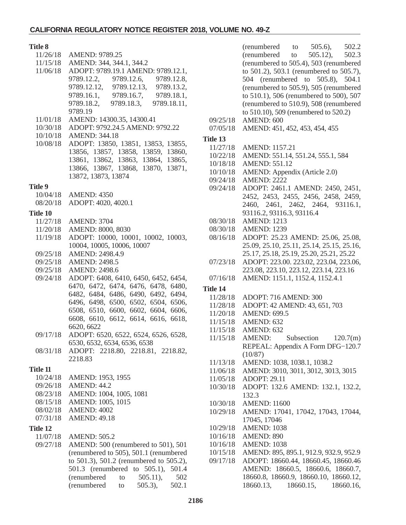#### **Title 8**

| 1 iue o         |                                         |
|-----------------|-----------------------------------------|
| 11/26/18        | <b>AMEND: 9789.25</b>                   |
| 11/15/18        | AMEND: 344, 344.1, 344.2                |
| 11/06/18        | ADOPT: 9789.19.1 AMEND: 9789.12.1,      |
|                 | 9789.12.2, 9789.12.6,<br>9789.12.8,     |
|                 | 9789.12.12, 9789.12.13, 9789.13.2,      |
|                 | 9789.16.1, 9789.16.7, 9789.18.1,        |
|                 | 9789.18.11,<br>9789.18.2, 9789.18.3,    |
|                 | 9789.19                                 |
| 11/01/18        | AMEND: 14300.35, 14300.41               |
|                 |                                         |
| 10/30/18        | ADOPT: 9792.24.5 AMEND: 9792.22         |
| 10/10/18        | <b>AMEND: 344.18</b>                    |
| 10/08/18        | ADOPT: 13850, 13851, 13853, 13855,      |
|                 | 13856, 13857, 13858, 13859, 13860,      |
|                 | 13861, 13862, 13863, 13864, 13865,      |
|                 | 13866, 13867, 13868, 13870, 13871,      |
|                 | 13872, 13873, 13874                     |
| Title 9         |                                         |
| 10/04/18        | <b>AMEND: 4350</b>                      |
| 08/20/18        | ADOPT: 4020, 4020.1                     |
|                 |                                         |
| <b>Title 10</b> |                                         |
| 11/27/18        | <b>AMEND: 3704</b>                      |
| 11/20/18        | AMEND: 8000, 8030                       |
| 11/19/18        | ADOPT: 10000, 10001, 10002, 10003,      |
|                 | 10004, 10005, 10006, 10007              |
| 09/25/18        | AMEND: 2498.4.9                         |
| 09/25/18        | <b>AMEND: 2498.5</b>                    |
| 09/25/18        | <b>AMEND: 2498.6</b>                    |
| 09/24/18        | ADOPT: 6408, 6410, 6450, 6452, 6454,    |
|                 | 6470, 6472, 6474, 6476, 6478, 6480,     |
|                 | 6482, 6484, 6486, 6490, 6492, 6494,     |
|                 | 6496, 6498, 6500, 6502, 6504, 6506,     |
|                 | 6508, 6510, 6600, 6602, 6604, 6606,     |
|                 | 6608, 6610, 6612, 6614, 6616, 6618,     |
|                 | 6620, 6622                              |
| 09/17/18        | ADOPT: 6520, 6522, 6524, 6526, 6528,    |
|                 | 6530, 6532, 6534, 6536, 6538            |
| 08/31/18        | ADOPT: 2218.80, 2218.81, 2218.82,       |
|                 | 2218.83                                 |
|                 |                                         |
| Title 11        |                                         |
| 10/24/18        | AMEND: 1953, 1955                       |
| 09/26/18        | <b>AMEND: 44.2</b>                      |
| 08/23/18        | AMEND: 1004, 1005, 1081                 |
| 08/15/18        | AMEND: 1005, 1015                       |
| 08/02/18        | AMEND: 4002                             |
| 07/31/18        | <b>AMEND: 49.18</b>                     |
| Title 12        |                                         |
| 11/07/18        | <b>AMEND: 505.2</b>                     |
| 09/27/18        | AMEND: 500 (renumbered to 501), 501     |
|                 | (renumbered to 505), 501.1 (renumbered  |
|                 | to 501.3), 501.2 (renumbered to 505.2), |
|                 | 501.3 (renumbered to 505.1), 501.4      |
|                 | (renumbered to 505.11),<br>502          |
|                 |                                         |

(renumbered to 505.3), 502.1

(renumbered to 505.12), 502.3 (renumbered to 505.4), 503 (renumbered to 501.2), 503.1 (renumbered to 505.7), 504 (renumbered to 505.8), 504.1 (renumbered to 505.9), 505 (renumbered to 510.1), 506 (renumbered to 500), 507 (renumbered to 510.9), 508 (renumbered to 510.10), 509 (renumbered to 520.2) 09/25/18 AMEND: 600 07/05/18 AMEND: 451, 452, 453, 454, 455 **Title 13** 11/27/18 AMEND: 1157.21 10/22/18 AMEND: 551.14, 551.24, 555.1, 584 10/18/18 AMEND: 551.12 10/10/18 AMEND: Appendix (Article 2.0) 09/24/18 AMEND: 2222 09/24/18 ADOPT: 2461.1 AMEND: 2450, 2451, 2452, 2453, 2455, 2456, 2458, 2459, 2460, 2461, 2462, 2464, 93116.1, 93116.2, 93116.3, 93116.4 08/30/18 AMEND: 1213 08/30/18 AMEND: 1239 08/16/18 ADOPT: 25.23 AMEND: 25.06, 25.08, 25.09, 25.10, 25.11, 25.14, 25.15, 25.16, 25.17, 25.18, 25.19, 25.20, 25.21, 25.22 07/23/18 ADOPT: 223.00. 223.02, 223.04, 223.06, 223.08, 223.10, 223.12, 223.14, 223.16 07/16/18 AMEND: 1151.1, 1152.4, 1152.4.1 **Title 14** 11/28/18 ADOPT: 716 AMEND: 300 11/28/18 ADOPT: 42 AMEND: 43, 651, 703 11/20/18 AMEND: 699.5 11/15/18 AMEND: 632 11/15/18 AMEND: 632 11/15/18 AMEND: Subsection 120.7(m) REPEAL: Appendix A Form DFG−120.7 (10/87) 11/13/18 AMEND: 1038, 1038.1, 1038.2 11/06/18 AMEND: 3010, 3011, 3012, 3013, 3015 11/05/18 ADOPT: 29.11 10/30/18 ADOPT: 132.6 AMEND: 132.1, 132.2, 132.3 10/30/18 AMEND: 11600 10/29/18 AMEND: 17041, 17042, 17043, 17044, 17045, 17046 10/29/18 AMEND: 1038 10/16/18 AMEND: 890 10/16/18 AMEND: 1038 10/15/18 AMEND: 895, 895.1, 912.9, 932.9, 952.9 09/17/18 ADOPT: 18660.44, 18660.45, 18660.46 AMEND: 18660.5, 18660.6, 18660.7, 18660.8, 18660.9, 18660.10, 18660.12, 18660.13, 18660.15, 18660.16,

(renumbered to 505.6), 502.2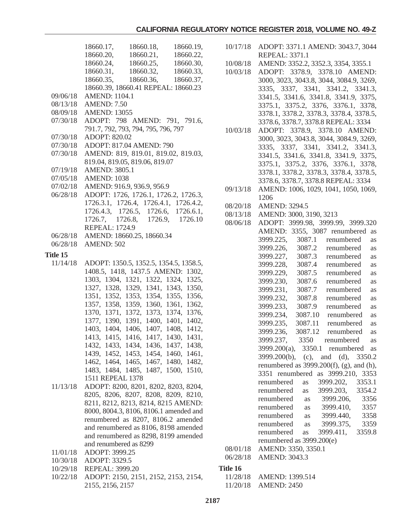|          | 18660.17, 18660.18, 18660.19,                           |  |  |  |  |
|----------|---------------------------------------------------------|--|--|--|--|
|          | 18660.20, 18660.21, 18660.22,                           |  |  |  |  |
|          | 18660.24,                                               |  |  |  |  |
|          | 18660.25, 18660.30,<br>18660.32, 18660.33,<br>18660.31, |  |  |  |  |
|          | 18660.36, 18660.37,<br>18660.35,                        |  |  |  |  |
|          | 18660.39, 18660.41 REPEAL: 18660.23                     |  |  |  |  |
| 09/06/18 | <b>AMEND: 1104.1</b>                                    |  |  |  |  |
| 08/13/18 | <b>AMEND: 7.50</b>                                      |  |  |  |  |
| 08/09/18 | <b>AMEND: 13055</b>                                     |  |  |  |  |
| 07/30/18 | ADOPT: 798 AMEND: 791, 791.6,                           |  |  |  |  |
|          | 791.7, 792, 793, 794, 795, 796, 797                     |  |  |  |  |
| 07/30/18 | ADOPT: 820.02                                           |  |  |  |  |
| 07/30/18 | ADOPT: 817.04 AMEND: 790                                |  |  |  |  |
| 07/30/18 | AMEND: 819, 819.01, 819.02, 819.03,                     |  |  |  |  |
|          | 819.04, 819.05, 819.06, 819.07                          |  |  |  |  |
| 07/19/18 | <b>AMEND: 3805.1</b>                                    |  |  |  |  |
| 07/05/18 | <b>AMEND: 1038</b>                                      |  |  |  |  |
| 07/02/18 | AMEND: 916.9, 936.9, 956.9                              |  |  |  |  |
| 06/28/18 | ADOPT: 1726, 1726.1, 1726.2, 1726.3,                    |  |  |  |  |
|          | 1726.3.1, 1726.4, 1726.4.1, 1726.4.2,                   |  |  |  |  |
|          | 1726.4.3, 1726.5, 1726.6, 1726.6.1,                     |  |  |  |  |
|          | 1726.7, 1726.8, 1726.9, 1726.10                         |  |  |  |  |
|          | <b>REPEAL: 1724.9</b>                                   |  |  |  |  |
| 06/28/18 | AMEND: 18660.25, 18660.34                               |  |  |  |  |
| 06/28/18 | AMEND: 502                                              |  |  |  |  |
| Title 15 |                                                         |  |  |  |  |
| 11/14/18 | ADOPT: 1350.5, 1352.5, 1354.5, 1358.5,                  |  |  |  |  |
|          | 1408.5, 1418, 1437.5 AMEND: 1302,                       |  |  |  |  |
|          | 1303, 1304, 1321, 1322, 1324, 1325,                     |  |  |  |  |
|          | 1327, 1328, 1329, 1341, 1343, 1350,                     |  |  |  |  |
|          | 1351, 1352, 1353, 1354, 1355, 1356,                     |  |  |  |  |
|          | 1357, 1358, 1359, 1360, 1361, 1362,                     |  |  |  |  |
|          | 1370, 1371, 1372, 1373, 1374, 1376,                     |  |  |  |  |
|          | 1377, 1390, 1391, 1400, 1401, 1402,                     |  |  |  |  |
|          | 1403, 1404, 1406, 1407, 1408,<br>1412,                  |  |  |  |  |
|          | 1413, 1415, 1416, 1417, 1430, 1431,                     |  |  |  |  |
|          | 1432, 1433, 1434, 1436, 1437, 1438,                     |  |  |  |  |
|          | 1439, 1452, 1453, 1454, 1460, 1461,                     |  |  |  |  |
|          | 1462, 1464, 1465, 1467, 1480,<br>1482,                  |  |  |  |  |
|          | 1483, 1484, 1485, 1487, 1500,<br>1510,                  |  |  |  |  |
|          | 1511 REPEAL 1378                                        |  |  |  |  |

- 11/13/18 ADOPT: 8200, 8201, 8202, 8203, 8204, 8205, 8206, 8207, 8208, 8209, 8210, 8211, 8212, 8213, 8214, 8215 AMEND: 8000, 8004.3, 8106, 8106.1 amended and renumbered as 8207, 8106.2 amended and renumbered as 8106, 8198 amended and renumbered as 8298, 8199 amended and renumbered as 8299
- 11/01/18 ADOPT: 3999.25
- 10/30/18 ADOPT: 3329.5
- 10/29/18 REPEAL: 3999.20
- 10/22/18 ADOPT: 2150, 2151, 2152, 2153, 2154, 2155, 2156, 2157
- 10/17/18 ADOPT: 3371.1 AMEND: 3043.7, 3044 REPEAL: 3371.1
- 10/08/18 AMEND: 3352.2, 3352.3, 3354, 3355.1
- 10/03/18 ADOPT: 3378.9, 3378.10 AMEND: 3000, 3023, 3043.8, 3044, 3084.9, 3269, 3335, 3337, 3341, 3341.2, 3341.3, 3341.5, 3341.6, 3341.8, 3341.9, 3375, 3375.1, 3375.2, 3376, 3376.1, 3378, 3378.1, 3378.2, 3378.3, 3378.4, 3378.5, 3378.6, 3378.7, 3378.8 REPEAL: 3334
- 10/03/18 ADOPT: 3378.9, 3378.10 AMEND: 3000, 3023, 3043.8, 3044, 3084.9, 3269, 3335, 3337, 3341, 3341.2, 3341.3, 3341.5, 3341.6, 3341.8, 3341.9, 3375, 3375.1, 3375.2, 3376, 3376.1, 3378, 3378.1, 3378.2, 3378.3, 3378.4, 3378.5, 3378.6, 3378.7, 3378.8 REPEAL: 3334
- 09/13/18 AMEND: 1006, 1029, 1041, 1050, 1069, 1206
- 08/20/18 AMEND: 3294.5

11/28/18 AMEND: 1399.514 11/20/18 AMEND: 2450

08/13/18 AMEND: 3000, 3190, 3213

|          | 08/06/18 ADOPT: 3999.98, 3999.99, 3999.320                       |  |  |  |
|----------|------------------------------------------------------------------|--|--|--|
|          | AMEND: 3355, 3087 renumbered<br>as                               |  |  |  |
|          | 3999.225, 3087.1 renumbered<br>as                                |  |  |  |
|          | 3999.226, 3087.2 renumbered<br>as                                |  |  |  |
|          | as                                                               |  |  |  |
|          | 3999.227, 3087.3 renumbered<br>3999.228, 3087.4 renumbered<br>as |  |  |  |
|          | 3999.229, 3087.5<br>renumbered<br>as                             |  |  |  |
|          | 3999.230, 3087.6<br>renumbered<br>as                             |  |  |  |
|          | 3999.231, 3087.7<br>renumbered<br>as                             |  |  |  |
|          | 3999.232, 3087.8<br>renumbered<br>as                             |  |  |  |
|          | 3999.233, 3087.9 renumbered<br>as                                |  |  |  |
|          | 3999.234, 3087.10 renumbered<br>as                               |  |  |  |
|          | 3999.235, 3087.11 renumbered<br>as                               |  |  |  |
|          | 3999.236, 3087.12 renumbered                                     |  |  |  |
|          | as<br>3999.237, 3350 renumbered                                  |  |  |  |
|          | as                                                               |  |  |  |
|          | 3999.200(a), 3350.1 renumbered<br>as                             |  |  |  |
|          | 3999.200(b), (c), and (d), 3350.2                                |  |  |  |
|          | renumbered as $3999.200(f)$ , (g), and (h),                      |  |  |  |
|          | 3351 renumbered as 3999.210, 3353                                |  |  |  |
|          | 3999.202, 3353.1<br>renumbered as                                |  |  |  |
|          | renumbered as 3999.203, 3354.2                                   |  |  |  |
|          | renumbered as 3999.206, 3356                                     |  |  |  |
|          | renumbered as 3999.410, 3357                                     |  |  |  |
|          | renumbered as 3999.440, 3358                                     |  |  |  |
|          | renumbered as 3999.375, 3359                                     |  |  |  |
|          | 3999.411, 3359.8<br>renumbered as                                |  |  |  |
|          | renumbered as $3999.200(e)$                                      |  |  |  |
| 08/01/18 | AMEND: 3350, 3350.1                                              |  |  |  |
|          | 06/28/18 AMEND: 3043.3                                           |  |  |  |
| Title 16 |                                                                  |  |  |  |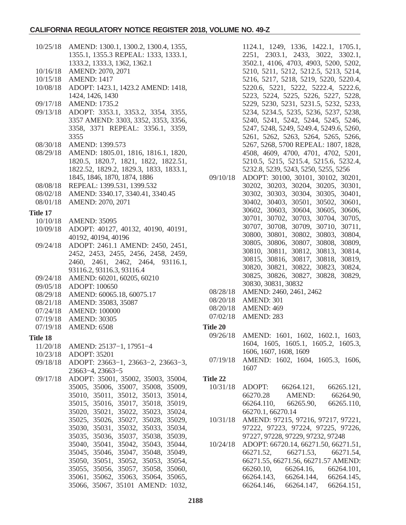#### **CALIFORNIA REGULATORY NOTICE REGISTER 2018, VOLUME NO. 49-Z**

| 10/25/18        | AMEND: 1300.1, 1300.2, 1300.4, 1355,<br>1355.1, 1355.3 REPEAL: 1333, 1333.1,<br>1333.2, 1333.3, 1362, 1362.1          |  |  |  |  |
|-----------------|-----------------------------------------------------------------------------------------------------------------------|--|--|--|--|
| 10/16/18        | AMEND: 2070, 2071                                                                                                     |  |  |  |  |
|                 | 10/15/18 AMEND: 1417                                                                                                  |  |  |  |  |
|                 | 10/08/18 ADOPT: 1423.1, 1423.2 AMEND: 1418,                                                                           |  |  |  |  |
|                 | 1424, 1426, 1430                                                                                                      |  |  |  |  |
| 09/17/18        | <b>AMEND: 1735.2</b>                                                                                                  |  |  |  |  |
| 09/13/18        | ADOPT: 3353.1, 3353.2, 3354, 3355,<br>3357 AMEND: 3303, 3352, 3353, 3356,<br>3358, 3371 REPEAL: 3356.1, 3359,<br>3355 |  |  |  |  |
|                 | 08/30/18 AMEND: 1399.573                                                                                              |  |  |  |  |
|                 | 08/29/18 AMEND: 1805.01, 1816, 1816.1, 1820,                                                                          |  |  |  |  |
|                 | 1820.5, 1820.7, 1821, 1822, 1822.51,                                                                                  |  |  |  |  |
|                 | 1822.52, 1829.2, 1829.3, 1833, 1833.1,                                                                                |  |  |  |  |
|                 | 1845, 1846, 1870, 1874, 1886                                                                                          |  |  |  |  |
| 08/08/18        | REPEAL: 1399.531, 1399.532                                                                                            |  |  |  |  |
|                 | 08/02/18 AMEND: 3340.17, 3340.41, 3340.45                                                                             |  |  |  |  |
| 08/01/18        | AMEND: 2070, 2071                                                                                                     |  |  |  |  |
| Title 17        |                                                                                                                       |  |  |  |  |
| 10/10/18        | <b>AMEND: 35095</b>                                                                                                   |  |  |  |  |
| 10/09/18        | ADOPT: 40127, 40132, 40190, 40191,                                                                                    |  |  |  |  |
|                 | 40192, 40194, 40196                                                                                                   |  |  |  |  |
| 09/24/18        | ADOPT: 2461.1 AMEND: 2450, 2451,                                                                                      |  |  |  |  |
|                 | 2452, 2453, 2455, 2456, 2458, 2459,                                                                                   |  |  |  |  |
|                 | 2460, 2461, 2462, 2464, 93116.1,                                                                                      |  |  |  |  |
|                 | 93116.2, 93116.3, 93116.4                                                                                             |  |  |  |  |
| 09/24/18        | AMEND: 60201, 60205, 60210                                                                                            |  |  |  |  |
| 09/05/18        | ADOPT: 100650                                                                                                         |  |  |  |  |
| 08/29/18        | AMEND: 60065.18, 60075.17                                                                                             |  |  |  |  |
|                 | 08/21/18 AMEND: 35083, 35087                                                                                          |  |  |  |  |
|                 | 07/24/18 AMEND: 100000                                                                                                |  |  |  |  |
|                 | 07/19/18 AMEND: 30305                                                                                                 |  |  |  |  |
|                 | 07/19/18 AMEND: 6508                                                                                                  |  |  |  |  |
| <b>Title 18</b> |                                                                                                                       |  |  |  |  |
| 11/20/18        | AMEND: 25137-1, 17951-4                                                                                               |  |  |  |  |
| 10/23/18        | ADOPT: 35201                                                                                                          |  |  |  |  |
| 09/18/18        | ADOPT: 23663-1, 23663-2, 23663-3,                                                                                     |  |  |  |  |
|                 | 23663-4, 23663-5                                                                                                      |  |  |  |  |
| 09/17/18        | ADOPT: 35001, 35002, 35003, 35004,                                                                                    |  |  |  |  |
|                 | 35005, 35006, 35007, 35008,<br>35009,                                                                                 |  |  |  |  |
|                 | 35010, 35011, 35012, 35013, 35014,                                                                                    |  |  |  |  |
|                 | 35015, 35016, 35017, 35018, 35019,                                                                                    |  |  |  |  |
|                 | 35020, 35021, 35022, 35023, 35024,                                                                                    |  |  |  |  |
|                 | 35025, 35026, 35027, 35028, 35029,                                                                                    |  |  |  |  |
|                 | 35030, 35031, 35032, 35033, 35034,                                                                                    |  |  |  |  |
|                 | 35035, 35036, 35037, 35038, 35039,                                                                                    |  |  |  |  |
|                 | 35040, 35041, 35042, 35043, 35044,                                                                                    |  |  |  |  |
|                 | 35045, 35046, 35047, 35048, 35049,                                                                                    |  |  |  |  |
|                 | 35050, 35051, 35052, 35053, 35054,                                                                                    |  |  |  |  |
|                 | 35055, 35056, 35057, 35058, 35060,                                                                                    |  |  |  |  |
|                 | 35061, 35062, 35063, 35064, 35065,                                                                                    |  |  |  |  |
|                 | 35066, 35067, 35101 AMEND: 1032,                                                                                      |  |  |  |  |

1124.1, 1249, 1336, 1422.1, 1705.1, 2251, 2303.1, 2433, 3022, 3302.1, 3502.1, 4106, 4703, 4903, 5200, 5202, 5210, 5211, 5212, 5212.5, 5213, 5214, 5216, 5217, 5218, 5219, 5220, 5220.4, 5220.6, 5221, 5222, 5222.4, 5222.6, 5223, 5224, 5225, 5226, 5227, 5228, 5229, 5230, 5231, 5231.5, 5232, 5233, 5234, 5234.5, 5235, 5236, 5237, 5238, 5240, 5241, 5242, 5244, 5245, 5246, 5247, 5248, 5249, 5249.4, 5249.6, 5260, 5261, 5262, 5263, 5264, 5265, 5266, 5267, 5268, 5700 REPEAL: 1807, 1828, 4508, 4609, 4700, 4701, 4702, 5201, 5210.5, 5215, 5215.4, 5215.6, 5232.4, 5232.8, 5239, 5243, 5250, 5255, 5256

- 09/10/18 ADOPT: 30100, 30101, 30102, 30201, 30202, 30203, 30204, 30205, 30301, 30302, 30303, 30304, 30305, 30401, 30402, 30403, 30501, 30502, 30601, 30602, 30603, 30604, 30605, 30606, 30701, 30702, 30703, 30704, 30705, 30707, 30708, 30709, 30710, 30711, 30800, 30801, 30802, 30803, 30804, 30805, 30806, 30807, 30808, 30809, 30810, 30811, 30812, 30813, 30814, 30815, 30816, 30817, 30818, 30819, 30820, 30821, 30822, 30823, 30824, 30825, 30826, 30827, 30828, 30829, 30830, 30831, 30832 08/28/18 AMEND: 2460, 2461, 2462
- 
- 08/20/18 AMEND: 301
- 08/20/18 AMEND: 469 07/02/18 AMEND: 283

#### **Title 20**

09/26/18 AMEND: 1601, 1602, 1602.1, 1603, 1604, 1605, 1605.1, 1605.2, 1605.3, 1606, 1607, 1608, 1609

07/19/18 AMEND: 1602, 1604, 1605.3, 1606, 1607

#### **Title 22**

| $10/31/18$ ADOPT: | 66264.121. | 66265.121. |
|-------------------|------------|------------|
| 66270.28          | AMEND:     | 66264.90.  |
| 66264.110.        | 66265.90.  | 66265.110. |
| 66270.1, 66270.14 |            |            |
|                   |            |            |

- 10/31/18 AMEND: 97215, 97216, 97217, 97221, 97222, 97223, 97224, 97225, 97226, 97227, 97228, 97229, 97232, 97248
- 10/24/18 ADOPT: 66720.14, 66271.50, 66271.51, 66271.52, 66271.53, 66271.54, 66271.55, 66271.56, 66271.57 AMEND: 66260.10, 66264.16, 66264.101, 66264.143, 66264.144, 66264.145, 66264.146, 66264.147, 66264.151,